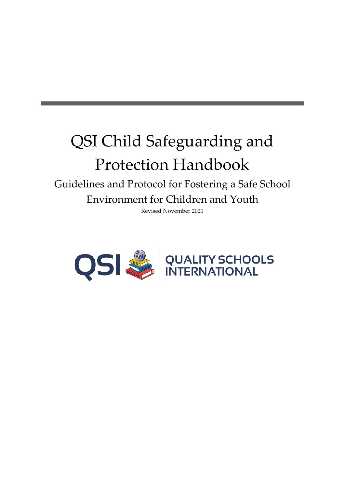# QSI Child Safeguarding and Protection Handbook

Guidelines and Protocol for Fostering a Safe School Environment for Children and Youth

Revised November 2021

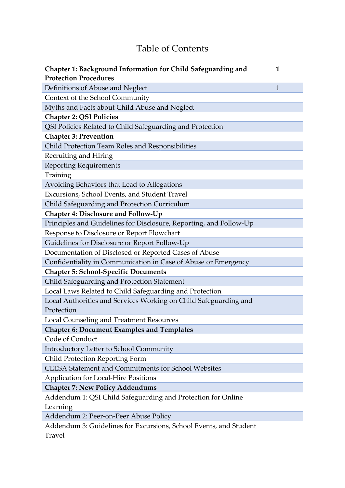## Table of Contents

| Chapter 1: Background Information for Child Safeguarding and<br>1  |
|--------------------------------------------------------------------|
| <b>Protection Procedures</b>                                       |
| Definitions of Abuse and Neglect<br>$\mathbf{1}$                   |
| Context of the School Community                                    |
| Myths and Facts about Child Abuse and Neglect                      |
| <b>Chapter 2: QSI Policies</b>                                     |
| QSI Policies Related to Child Safeguarding and Protection          |
| <b>Chapter 3: Prevention</b>                                       |
| Child Protection Team Roles and Responsibilities                   |
| Recruiting and Hiring                                              |
| <b>Reporting Requirements</b>                                      |
| Training                                                           |
| Avoiding Behaviors that Lead to Allegations                        |
| Excursions, School Events, and Student Travel                      |
| Child Safeguarding and Protection Curriculum                       |
| <b>Chapter 4: Disclosure and Follow-Up</b>                         |
| Principles and Guidelines for Disclosure, Reporting, and Follow-Up |
| Response to Disclosure or Report Flowchart                         |
| Guidelines for Disclosure or Report Follow-Up                      |
| Documentation of Disclosed or Reported Cases of Abuse              |
| Confidentiality in Communication in Case of Abuse or Emergency     |
| <b>Chapter 5: School-Specific Documents</b>                        |
| Child Safeguarding and Protection Statement                        |
| Local Laws Related to Child Safeguarding and Protection            |
| Local Authorities and Services Working on Child Safeguarding and   |
| Protection                                                         |
| Local Counseling and Treatment Resources                           |
| <b>Chapter 6: Document Examples and Templates</b>                  |
| Code of Conduct                                                    |
| Introductory Letter to School Community                            |
| <b>Child Protection Reporting Form</b>                             |
| CEESA Statement and Commitments for School Websites                |
| <b>Application for Local-Hire Positions</b>                        |
| <b>Chapter 7: New Policy Addendums</b>                             |
| Addendum 1: QSI Child Safeguarding and Protection for Online       |
| Learning                                                           |
| Addendum 2: Peer-on-Peer Abuse Policy                              |
| Addendum 3: Guidelines for Excursions, School Events, and Student  |
| Travel                                                             |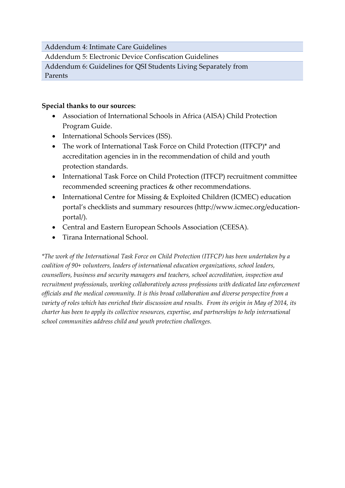Addendum 4: Intimate Care Guidelines

Addendum 5: Electronic Device Confiscation Guidelines

Addendum 6: Guidelines for QSI Students Living Separately from Parents

#### **Special thanks to our sources:**

- Association of International Schools in Africa (AISA) Child Protection Program Guide.
- International Schools Services (ISS).
- The work of International Task Force on Child Protection (ITFCP)\* and accreditation agencies in in the recommendation of child and youth protection standards.
- International Task Force on Child Protection (ITFCP) recruitment committee recommended screening practices & other recommendations.
- International Centre for Missing & Exploited Children (ICMEC) education portal's checklists and summary resources [\(http://www.icmec.org/education](http://www.icmec.org/education-portal/)[portal/\)](http://www.icmec.org/education-portal/).
- Central and Eastern European Schools Association (CEESA).
- Tirana International School.

*\*The work of the International Task Force on Child Protection (ITFCP) has been undertaken by a coalition of 90+ volunteers, leaders of international education organizations, school leaders, counsellors, business and security managers and teachers, school accreditation, inspection and recruitment professionals, working collaboratively across professions with dedicated law enforcement officials and the medical community. It is this broad collaboration and diverse perspective from a variety of roles which has enriched their discussion and results. From its origin in May of 2014, its charter has been to apply its collective resources, expertise, and partnerships to help international school communities address child and youth protection challenges.*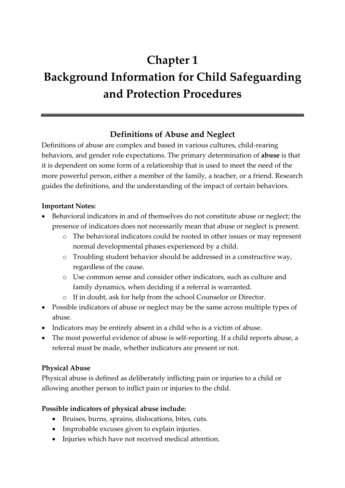## **Chapter 1 Background Information for Child Safeguarding and Protection Procedures**

### **Definitions of Abuse and Neglect**

Definitions of abuse are complex and based in various cultures, child-rearing behaviors, and gender role expectations. The primary determination of **abuse** is that it is dependent on some form of a relationship that is used to meet the need of the more powerful person, either a member of the family, a teacher, or a friend. Research guides the definitions, and the understanding of the impact of certain behaviors.

#### **Important Notes:**

- Behavioral indicators in and of themselves do not constitute abuse or neglect; the presence of indicators does not necessarily mean that abuse or neglect is present.
	- o The behavioral indicators could be rooted in other issues or may represent normal developmental phases experienced by a child.
	- o Troubling student behavior should be addressed in a constructive way, regardless of the cause.
	- o Use common sense and consider other indicators, such as culture and family dynamics, when deciding if a referral is warranted.
	- o If in doubt, ask for help from the school Counselor or Director.
- Possible indicators of abuse or neglect may be the same across multiple types of abuse.
- Indicators may be entirely absent in a child who is a victim of abuse.
- The most powerful evidence of abuse is self-reporting. If a child reports abuse, a referral must be made, whether indicators are present or not.

#### **Physical Abuse**

Physical abuse is defined as deliberately inflicting pain or injuries to a child or allowing another person to inflict pain or injuries to the child.

#### **Possible indicators of physical abuse include:**

- Bruises, burns, sprains, dislocations, bites, cuts.
- Improbable excuses given to explain injuries.
- Injuries which have not received medical attention.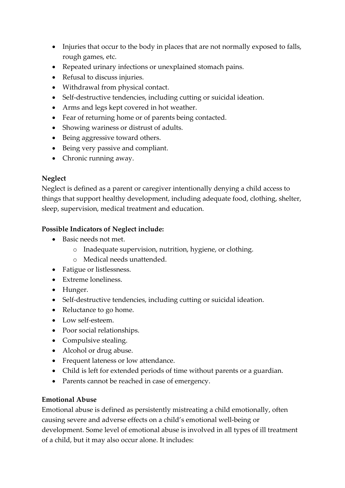- Injuries that occur to the body in places that are not normally exposed to falls, rough games, etc.
- Repeated urinary infections or unexplained stomach pains.
- Refusal to discuss injuries.
- Withdrawal from physical contact.
- Self-destructive tendencies, including cutting or suicidal ideation.
- Arms and legs kept covered in hot weather.
- Fear of returning home or of parents being contacted.
- Showing wariness or distrust of adults.
- Being aggressive toward others.
- Being very passive and compliant.
- Chronic running away.

#### **Neglect**

Neglect is defined as a parent or caregiver intentionally denying a child access to things that support healthy development, including adequate food, clothing, shelter, sleep, supervision, medical treatment and education.

#### **Possible Indicators of Neglect include:**

- Basic needs not met.
	- o Inadequate supervision, nutrition, hygiene, or clothing.
	- o Medical needs unattended.
- Fatigue or listlessness.
- Extreme loneliness.
- Hunger.
- Self-destructive tendencies, including cutting or suicidal ideation.
- Reluctance to go home.
- Low self-esteem.
- Poor social relationships.
- Compulsive stealing.
- Alcohol or drug abuse.
- Frequent lateness or low attendance.
- Child is left for extended periods of time without parents or a guardian.
- Parents cannot be reached in case of emergency.

#### **Emotional Abuse**

Emotional abuse is defined as persistently mistreating a child emotionally, often causing severe and adverse effects on a child's emotional well-being or development. Some level of emotional abuse is involved in all types of ill treatment of a child, but it may also occur alone. It includes: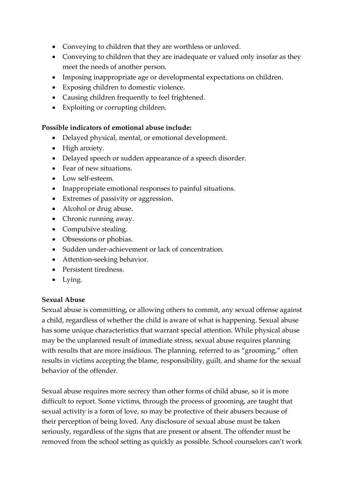- Conveying to children that they are worthless or unloved.
- Conveying to children that they are inadequate or valued only insofar as they meet the needs of another person.
- Imposing inappropriate age or developmental expectations on children.
- Exposing children to domestic violence.
- Causing children frequently to feel frightened.
- Exploiting or corrupting children.

#### **Possible indicators of emotional abuse include:**

- Delayed physical, mental, or emotional development.
- High anxiety.
- Delayed speech or sudden appearance of a speech disorder.
- Fear of new situations.
- Low self-esteem.
- Inappropriate emotional responses to painful situations.
- Extremes of passivity or aggression.
- Alcohol or drug abuse.
- Chronic running away.
- Compulsive stealing.
- Obsessions or phobias.
- Sudden under-achievement or lack of concentration.
- Attention-seeking behavior.
- Persistent tiredness.
- Lying.

#### **Sexual Abuse**

Sexual abuse is committing, or allowing others to commit, any sexual offense against a child, regardless of whether the child is aware of what is happening. Sexual abuse has some unique characteristics that warrant special attention. While physical abuse may be the unplanned result of immediate stress, sexual abuse requires planning with results that are more insidious. The planning, referred to as "grooming," often results in victims accepting the blame, responsibility, guilt, and shame for the sexual behavior of the offender.

Sexual abuse requires more secrecy than other forms of child abuse, so it is more difficult to report. Some victims, through the process of grooming, are taught that sexual activity is a form of love, so may be protective of their abusers because of their perception of being loved. Any disclosure of sexual abuse must be taken seriously, regardless of the signs that are present or absent. The offender must be removed from the school setting as quickly as possible. School counselors can't work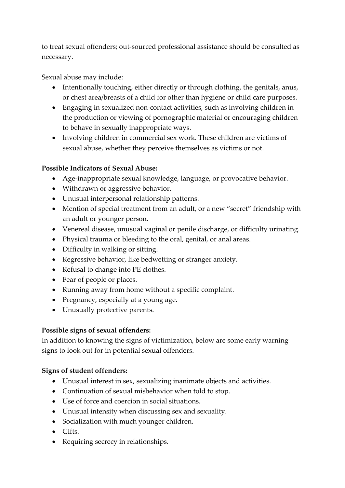to treat sexual offenders; out-sourced professional assistance should be consulted as necessary.

Sexual abuse may include:

- Intentionally touching, either directly or through clothing, the genitals, anus, or chest area/breasts of a child for other than hygiene or child care purposes.
- Engaging in sexualized non-contact activities, such as involving children in the production or viewing of pornographic material or encouraging children to behave in sexually inappropriate ways.
- Involving children in commercial sex work. These children are victims of sexual abuse, whether they perceive themselves as victims or not.

#### **Possible Indicators of Sexual Abuse:**

- Age-inappropriate sexual knowledge, language, or provocative behavior.
- Withdrawn or aggressive behavior.
- Unusual interpersonal relationship patterns.
- Mention of special treatment from an adult, or a new "secret" friendship with an adult or younger person.
- Venereal disease, unusual vaginal or penile discharge, or difficulty urinating.
- Physical trauma or bleeding to the oral, genital, or anal areas.
- Difficulty in walking or sitting.
- Regressive behavior, like bedwetting or stranger anxiety.
- Refusal to change into PE clothes.
- Fear of people or places.
- Running away from home without a specific complaint.
- Pregnancy, especially at a young age.
- Unusually protective parents.

#### **Possible signs of sexual offenders:**

In addition to knowing the signs of victimization, below are some early warning signs to look out for in potential sexual offenders.

#### **Signs of student offenders:**

- Unusual interest in sex, sexualizing inanimate objects and activities.
- Continuation of sexual misbehavior when told to stop.
- Use of force and coercion in social situations.
- Unusual intensity when discussing sex and sexuality.
- Socialization with much younger children.
- Gifts.
- Requiring secrecy in relationships.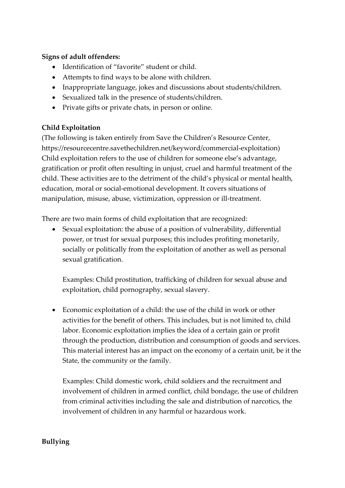#### **Signs of adult offenders:**

- Identification of "favorite" student or child.
- Attempts to find ways to be alone with children.
- Inappropriate language, jokes and discussions about students/children.
- Sexualized talk in the presence of students/children.
- Private gifts or private chats, in person or online.

#### **Child Exploitation**

(The following is taken entirely from Save the Children's Resource Center, https://resourcecentre.savethechildren.net/keyword/commercial-exploitation) Child exploitation refers to the use of children for someone else's advantage, gratification or profit often resulting in unjust, cruel and harmful treatment of the child. These activities are to the detriment of the child's physical or mental health, education, moral or social-emotional development. It covers situations of manipulation, misuse, abuse, victimization, oppression or ill-treatment.

There are two main forms of child exploitation that are recognized:

• Sexual exploitation: the abuse of a position of vulnerability, differential power, or trust for sexual purposes; this includes profiting monetarily, socially or politically from the exploitation of another as well as personal sexual gratification.

Examples: Child prostitution, trafficking of children for sexual abuse and exploitation, child pornography, sexual slavery.

• Economic exploitation of a child: the use of the child in work or other activities for the benefit of others. This includes, but is not limited to, child labor. Economic exploitation implies the idea of a certain gain or profit through the production, distribution and consumption of goods and services. This material interest has an impact on the economy of a certain unit, be it the State, the community or the family.

Examples: Child domestic work, child soldiers and the recruitment and involvement of children in armed conflict, child bondage, the use of children from criminal activities including the sale and distribution of narcotics, the involvement of children in any harmful or hazardous work.

#### **Bullying**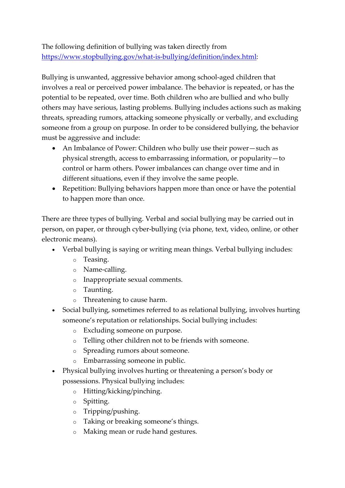The following definition of bullying was taken directly from [https://www.stopbullying.gov/what-is-bullying/definition/index.html:](https://www.stopbullying.gov/what-is-bullying/definition/index.html)

Bullying is unwanted, aggressive behavior among school-aged children that involves a real or perceived power imbalance. The behavior is repeated, or has the potential to be repeated, over time. Both children who are bullied and who bully others may have serious, lasting problems. Bullying includes actions such as making threats, spreading rumors, attacking someone physically or verbally, and excluding someone from a group on purpose. In order to be considered bullying, the behavior must be aggressive and include:

- An Imbalance of Power: Children who bully use their power—such as physical strength, access to embarrassing information, or popularity—to control or harm others. Power imbalances can change over time and in different situations, even if they involve the same people.
- Repetition: Bullying behaviors happen more than once or have the potential to happen more than once.

There are three types of bullying. Verbal and social bullying may be carried out in person, on paper, or through cyber-bullying (via phone, text, video, online, or other electronic means).

- Verbal bullying is saying or writing mean things. Verbal bullying includes:
	- o Teasing.
	- o Name-calling.
	- o Inappropriate sexual comments.
	- o Taunting.
	- o Threatening to cause harm.
- Social bullying, sometimes referred to as relational bullying, involves hurting someone's reputation or relationships. Social bullying includes:
	- o Excluding someone on purpose.
	- o Telling other children not to be friends with someone.
	- o Spreading rumors about someone.
	- o Embarrassing someone in public.
- Physical bullying involves hurting or threatening a person's body or possessions. Physical bullying includes:
	- o Hitting/kicking/pinching.
	- o Spitting.
	- o Tripping/pushing.
	- o Taking or breaking someone's things.
	- o Making mean or rude hand gestures.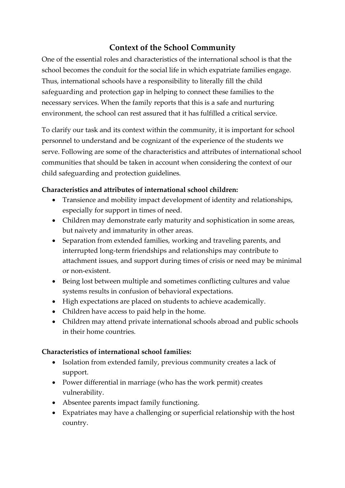### **Context of the School Community**

One of the essential roles and characteristics of the international school is that the school becomes the conduit for the social life in which expatriate families engage. Thus, international schools have a responsibility to literally fill the child safeguarding and protection gap in helping to connect these families to the necessary services. When the family reports that this is a safe and nurturing environment, the school can rest assured that it has fulfilled a critical service.

To clarify our task and its context within the community, it is important for school personnel to understand and be cognizant of the experience of the students we serve. Following are some of the characteristics and attributes of international school communities that should be taken in account when considering the context of our child safeguarding and protection guidelines.

#### **Characteristics and attributes of international school children:**

- Transience and mobility impact development of identity and relationships, especially for support in times of need.
- Children may demonstrate early maturity and sophistication in some areas, but naivety and immaturity in other areas.
- Separation from extended families, working and traveling parents, and interrupted long-term friendships and relationships may contribute to attachment issues, and support during times of crisis or need may be minimal or non-existent.
- Being lost between multiple and sometimes conflicting cultures and value systems results in confusion of behavioral expectations.
- High expectations are placed on students to achieve academically.
- Children have access to paid help in the home.
- Children may attend private international schools abroad and public schools in their home countries.

#### **Characteristics of international school families:**

- Isolation from extended family, previous community creates a lack of support.
- Power differential in marriage (who has the work permit) creates vulnerability.
- Absentee parents impact family functioning.
- Expatriates may have a challenging or superficial relationship with the host country.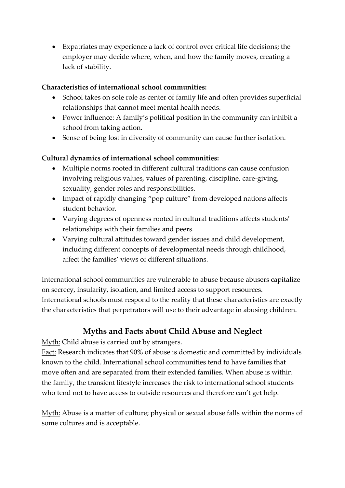• Expatriates may experience a lack of control over critical life decisions; the employer may decide where, when, and how the family moves, creating a lack of stability.

#### **Characteristics of international school communities:**

- School takes on sole role as center of family life and often provides superficial relationships that cannot meet mental health needs.
- Power influence: A family's political position in the community can inhibit a school from taking action.
- Sense of being lost in diversity of community can cause further isolation.

#### **Cultural dynamics of international school communities:**

- Multiple norms rooted in different cultural traditions can cause confusion involving religious values, values of parenting, discipline, care-giving, sexuality, gender roles and responsibilities.
- Impact of rapidly changing "pop culture" from developed nations affects student behavior.
- Varying degrees of openness rooted in cultural traditions affects students' relationships with their families and peers.
- Varying cultural attitudes toward gender issues and child development, including different concepts of developmental needs through childhood, affect the families' views of different situations.

International school communities are vulnerable to abuse because abusers capitalize on secrecy, insularity, isolation, and limited access to support resources. International schools must respond to the reality that these characteristics are exactly the characteristics that perpetrators will use to their advantage in abusing children.

#### **Myths and Facts about Child Abuse and Neglect**

Myth: Child abuse is carried out by strangers.

Fact: Research indicates that 90% of abuse is domestic and committed by individuals known to the child. International school communities tend to have families that move often and are separated from their extended families. When abuse is within the family, the transient lifestyle increases the risk to international school students who tend not to have access to outside resources and therefore can't get help.

Myth: Abuse is a matter of culture; physical or sexual abuse falls within the norms of some cultures and is acceptable.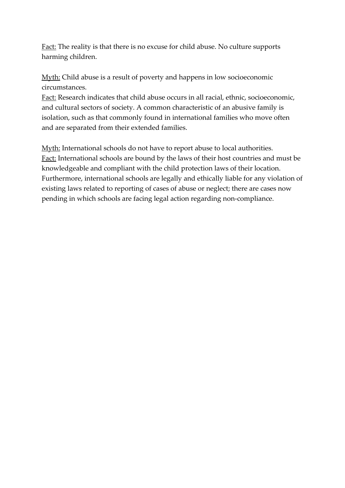Fact: The reality is that there is no excuse for child abuse. No culture supports harming children.

Myth: Child abuse is a result of poverty and happens in low socioeconomic circumstances.

Fact: Research indicates that child abuse occurs in all racial, ethnic, socioeconomic, and cultural sectors of society. A common characteristic of an abusive family is isolation, such as that commonly found in international families who move often and are separated from their extended families.

Myth: International schools do not have to report abuse to local authorities. Fact: International schools are bound by the laws of their host countries and must be knowledgeable and compliant with the child protection laws of their location. Furthermore, international schools are legally and ethically liable for any violation of existing laws related to reporting of cases of abuse or neglect; there are cases now pending in which schools are facing legal action regarding non-compliance.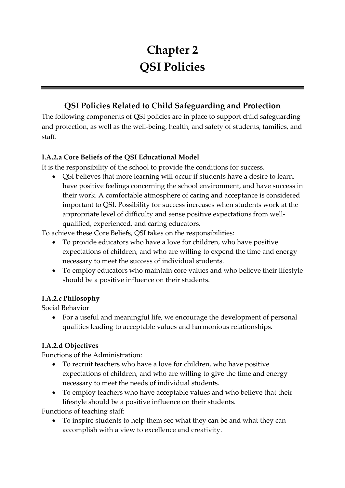## **Chapter 2 QSI Policies**

## **QSI Policies Related to Child Safeguarding and Protection**

The following components of QSI policies are in place to support child safeguarding and protection, as well as the well-being, health, and safety of students, families, and staff.

#### **I.A.2.a Core Beliefs of the QSI Educational Model**

It is the responsibility of the school to provide the conditions for success.

• QSI believes that more learning will occur if students have a desire to learn, have positive feelings concerning the school environment, and have success in their work. A comfortable atmosphere of caring and acceptance is considered important to QSI. Possibility for success increases when students work at the appropriate level of difficulty and sense positive expectations from wellqualified, experienced, and caring educators.

To achieve these Core Beliefs, QSI takes on the responsibilities:

- To provide educators who have a love for children, who have positive expectations of children, and who are willing to expend the time and energy necessary to meet the success of individual students.
- To employ educators who maintain core values and who believe their lifestyle should be a positive influence on their students.

#### **I.A.2.c Philosophy**

Social Behavior

• For a useful and meaningful life, we encourage the development of personal qualities leading to acceptable values and harmonious relationships.

#### **I.A.2.d Objectives**

Functions of the Administration:

- To recruit teachers who have a love for children, who have positive expectations of children, and who are willing to give the time and energy necessary to meet the needs of individual students.
- To employ teachers who have acceptable values and who believe that their lifestyle should be a positive influence on their students.

Functions of teaching staff:

• To inspire students to help them see what they can be and what they can accomplish with a view to excellence and creativity.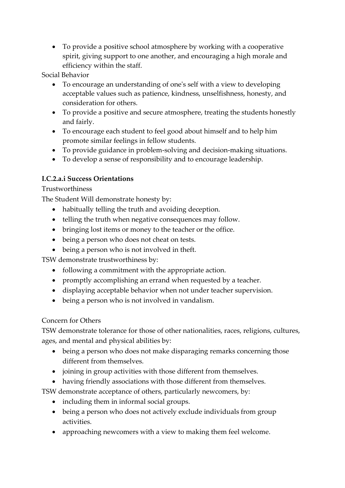• To provide a positive school atmosphere by working with a cooperative spirit, giving support to one another, and encouraging a high morale and efficiency within the staff.

Social Behavior

- To encourage an understanding of one's self with a view to developing acceptable values such as patience, kindness, unselfishness, honesty, and consideration for others.
- To provide a positive and secure atmosphere, treating the students honestly and fairly.
- To encourage each student to feel good about himself and to help him promote similar feelings in fellow students.
- To provide guidance in problem-solving and decision-making situations.
- To develop a sense of responsibility and to encourage leadership.

#### **I.C.2.a.i Success Orientations**

#### Trustworthiness

The Student Will demonstrate honesty by:

- habitually telling the truth and avoiding deception.
- telling the truth when negative consequences may follow.
- bringing lost items or money to the teacher or the office.
- being a person who does not cheat on tests.
- being a person who is not involved in theft.

TSW demonstrate trustworthiness by:

- following a commitment with the appropriate action.
- promptly accomplishing an errand when requested by a teacher.
- displaying acceptable behavior when not under teacher supervision.
- being a person who is not involved in vandalism.

#### Concern for Others

TSW demonstrate tolerance for those of other nationalities, races, religions, cultures, ages, and mental and physical abilities by:

- being a person who does not make disparaging remarks concerning those different from themselves.
- joining in group activities with those different from themselves.
- having friendly associations with those different from themselves.

TSW demonstrate acceptance of others, particularly newcomers, by:

- including them in informal social groups.
- being a person who does not actively exclude individuals from group activities.
- approaching newcomers with a view to making them feel welcome.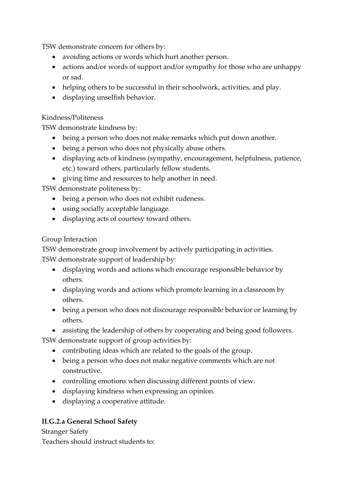TSW demonstrate concern for others by:

- avoiding actions or words which hurt another person.
- actions and/or words of support and/or sympathy for those who are unhappy or sad.
- helping others to be successful in their schoolwork, activities, and play.
- displaying unselfish behavior.

#### Kindness/Politeness

TSW demonstrate kindness by:

- being a person who does not make remarks which put down another.
- being a person who does not physically abuse others.
- displaying acts of kindness (sympathy, encouragement, helpfulness, patience, etc.) toward others, particularly fellow students.
- giving time and resources to help another in need.

TSW demonstrate politeness by:

- being a person who does not exhibit rudeness.
- using socially acceptable language.
- displaying acts of courtesy toward others.

#### Group Interaction

TSW demonstrate group involvement by actively participating in activities.

TSW demonstrate support of leadership by:

- displaying words and actions which encourage responsible behavior by others.
- displaying words and actions which promote learning in a classroom by others.
- being a person who does not discourage responsible behavior or learning by others.
- assisting the leadership of others by cooperating and being good followers.

TSW demonstrate support of group activities by:

- contributing ideas which are related to the goals of the group.
- being a person who does not make negative comments which are not constructive.
- controlling emotions when discussing different points of view.
- displaying kindness when expressing an opinion.
- displaying a cooperative attitude.

#### **II.G.2.a General School Safety**

Stranger Safety Teachers should instruct students to: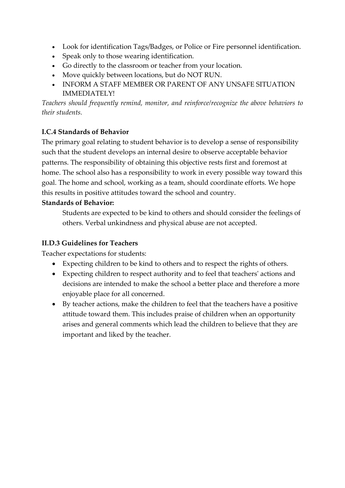- Look for identification Tags/Badges, or Police or Fire personnel identification.
- Speak only to those wearing identification.
- Go directly to the classroom or teacher from your location.
- Move quickly between locations, but do NOT RUN.
- INFORM A STAFF MEMBER OR PARENT OF ANY UNSAFE SITUATION IMMEDIATELY!

*Teachers should frequently remind, monitor, and reinforce/recognize the above behaviors to their students.*

#### **I.C.4 Standards of Behavior**

The primary goal relating to student behavior is to develop a sense of responsibility such that the student develops an internal desire to observe acceptable behavior patterns. The responsibility of obtaining this objective rests first and foremost at home. The school also has a responsibility to work in every possible way toward this goal. The home and school, working as a team, should coordinate efforts. We hope this results in positive attitudes toward the school and country.

#### **Standards of Behavior:**

Students are expected to be kind to others and should consider the feelings of others. Verbal unkindness and physical abuse are not accepted.

#### **II.D.3 Guidelines for Teachers**

Teacher expectations for students:

- Expecting children to be kind to others and to respect the rights of others.
- Expecting children to respect authority and to feel that teachers' actions and decisions are intended to make the school a better place and therefore a more enjoyable place for all concerned.
- By teacher actions, make the children to feel that the teachers have a positive attitude toward them. This includes praise of children when an opportunity arises and general comments which lead the children to believe that they are important and liked by the teacher.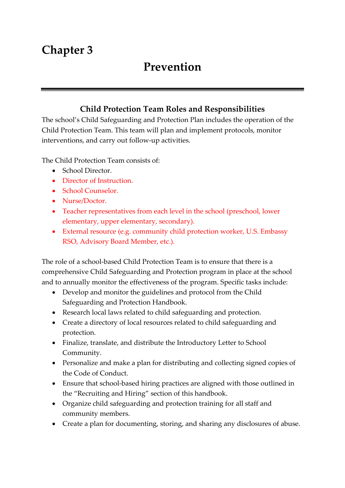## **Chapter 3**

## **Prevention**

## **Child Protection Team Roles and Responsibilities**

The school's Child Safeguarding and Protection Plan includes the operation of the Child Protection Team. This team will plan and implement protocols, monitor interventions, and carry out follow-up activities.

The Child Protection Team consists of:

- School Director.
- Director of Instruction.
- School Counselor.
- Nurse/Doctor.
- Teacher representatives from each level in the school (preschool, lower elementary, upper elementary, secondary).
- External resource (e.g. community child protection worker, U.S. Embassy RSO, Advisory Board Member, etc.).

The role of a school-based Child Protection Team is to ensure that there is a comprehensive Child Safeguarding and Protection program in place at the school and to annually monitor the effectiveness of the program. Specific tasks include:

- Develop and monitor the guidelines and protocol from the Child Safeguarding and Protection Handbook.
- Research local laws related to child safeguarding and protection.
- Create a directory of local resources related to child safeguarding and protection.
- Finalize, translate, and distribute the Introductory Letter to School Community.
- Personalize and make a plan for distributing and collecting signed copies of the Code of Conduct.
- Ensure that school-based hiring practices are aligned with those outlined in the "Recruiting and Hiring" section of this handbook.
- Organize child safeguarding and protection training for all staff and community members.
- Create a plan for documenting, storing, and sharing any disclosures of abuse.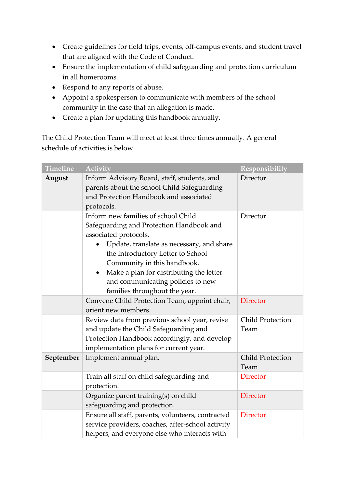- Create guidelines for field trips, events, off-campus events, and student travel that are aligned with the Code of Conduct.
- Ensure the implementation of child safeguarding and protection curriculum in all homerooms.
- Respond to any reports of abuse.
- Appoint a spokesperson to communicate with members of the school community in the case that an allegation is made.
- Create a plan for updating this handbook annually.

The Child Protection Team will meet at least three times annually. A general schedule of activities is below.

| <b>Timeline</b> | <b>Activity</b>                                                                                                                                                                                                                                                                                                                                         | Responsibility                  |
|-----------------|---------------------------------------------------------------------------------------------------------------------------------------------------------------------------------------------------------------------------------------------------------------------------------------------------------------------------------------------------------|---------------------------------|
| August          | Inform Advisory Board, staff, students, and<br>parents about the school Child Safeguarding<br>and Protection Handbook and associated<br>protocols.                                                                                                                                                                                                      | Director                        |
|                 | Inform new families of school Child<br>Safeguarding and Protection Handbook and<br>associated protocols.<br>Update, translate as necessary, and share<br>the Introductory Letter to School<br>Community in this handbook.<br>Make a plan for distributing the letter<br>$\bullet$<br>and communicating policies to new<br>families throughout the year. | Director                        |
|                 | Convene Child Protection Team, appoint chair,<br>orient new members.                                                                                                                                                                                                                                                                                    | <b>Director</b>                 |
|                 | Review data from previous school year, revise<br>and update the Child Safeguarding and<br>Protection Handbook accordingly, and develop<br>implementation plans for current year.                                                                                                                                                                        | <b>Child Protection</b><br>Team |
| September       | Implement annual plan.                                                                                                                                                                                                                                                                                                                                  | <b>Child Protection</b><br>Team |
|                 | Train all staff on child safeguarding and<br>protection.                                                                                                                                                                                                                                                                                                | <b>Director</b>                 |
|                 | Organize parent training(s) on child<br>safeguarding and protection.                                                                                                                                                                                                                                                                                    | <b>Director</b>                 |
|                 | Ensure all staff, parents, volunteers, contracted<br>service providers, coaches, after-school activity<br>helpers, and everyone else who interacts with                                                                                                                                                                                                 | <b>Director</b>                 |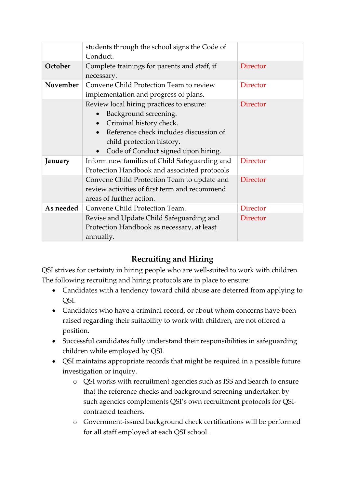|           | students through the school signs the Code of    |                 |
|-----------|--------------------------------------------------|-----------------|
|           | Conduct.                                         |                 |
| October   | Complete trainings for parents and staff, if     | <b>Director</b> |
|           | necessary.                                       |                 |
| November  | Convene Child Protection Team to review          | <b>Director</b> |
|           | implementation and progress of plans.            |                 |
|           | Review local hiring practices to ensure:         | <b>Director</b> |
|           | Background screening.                            |                 |
|           | Criminal history check.                          |                 |
|           | Reference check includes discussion of           |                 |
|           | child protection history.                        |                 |
|           | Code of Conduct signed upon hiring.<br>$\bullet$ |                 |
| January   | Inform new families of Child Safeguarding and    | <b>Director</b> |
|           | Protection Handbook and associated protocols     |                 |
|           | Convene Child Protection Team to update and      | <b>Director</b> |
|           | review activities of first term and recommend    |                 |
|           | areas of further action.                         |                 |
| As needed | Convene Child Protection Team.                   | <b>Director</b> |
|           | Revise and Update Child Safeguarding and         | <b>Director</b> |
|           | Protection Handbook as necessary, at least       |                 |
|           | annually.                                        |                 |

## **Recruiting and Hiring**

QSI strives for certainty in hiring people who are well-suited to work with children. The following recruiting and hiring protocols are in place to ensure:

- Candidates with a tendency toward child abuse are deterred from applying to QSI.
- Candidates who have a criminal record, or about whom concerns have been raised regarding their suitability to work with children, are not offered a position.
- Successful candidates fully understand their responsibilities in safeguarding children while employed by QSI.
- QSI maintains appropriate records that might be required in a possible future investigation or inquiry.
	- o QSI works with recruitment agencies such as ISS and Search to ensure that the reference checks and background screening undertaken by such agencies complements QSI's own recruitment protocols for QSIcontracted teachers.
	- o Government-issued background check certifications will be performed for all staff employed at each QSI school.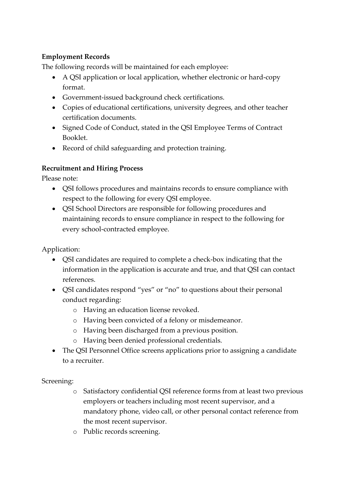#### **Employment Records**

The following records will be maintained for each employee:

- A QSI application or local application, whether electronic or hard-copy format.
- Government-issued background check certifications.
- Copies of educational certifications, university degrees, and other teacher certification documents.
- Signed Code of Conduct, stated in the QSI Employee Terms of Contract Booklet.
- Record of child safeguarding and protection training.

#### **Recruitment and Hiring Process**

Please note:

- QSI follows procedures and maintains records to ensure compliance with respect to the following for every QSI employee.
- QSI School Directors are responsible for following procedures and maintaining records to ensure compliance in respect to the following for every school-contracted employee.

Application:

- QSI candidates are required to complete a check-box indicating that the information in the application is accurate and true, and that QSI can contact references.
- QSI candidates respond "yes" or "no" to questions about their personal conduct regarding:
	- o Having an education license revoked.
	- o Having been convicted of a felony or misdemeanor.
	- o Having been discharged from a previous position.
	- o Having been denied professional credentials.
- The QSI Personnel Office screens applications prior to assigning a candidate to a recruiter.

Screening:

- o Satisfactory confidential QSI reference forms from at least two previous employers or teachers including most recent supervisor, and a mandatory phone, video call, or other personal contact reference from the most recent supervisor.
- o Public records screening.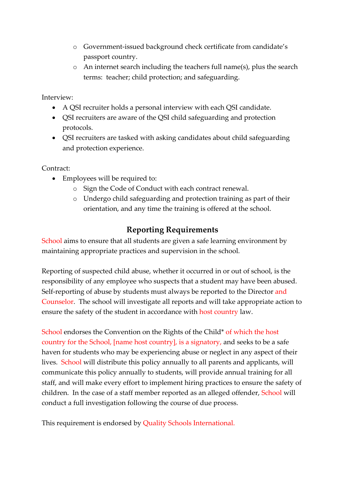- o Government-issued background check certificate from candidate's passport country.
- o An internet search including the teachers full name(s), plus the search terms: teacher; child protection; and safeguarding.

Interview:

- A QSI recruiter holds a personal interview with each QSI candidate.
- QSI recruiters are aware of the QSI child safeguarding and protection protocols.
- QSI recruiters are tasked with asking candidates about child safeguarding and protection experience.

Contract:

- Employees will be required to:
	- o Sign the Code of Conduct with each contract renewal.
	- o Undergo child safeguarding and protection training as part of their orientation, and any time the training is offered at the school.

### **Reporting Requirements**

School aims to ensure that all students are given a safe learning environment by maintaining appropriate practices and supervision in the school.

Reporting of suspected child abuse, whether it occurred in or out of school, is the responsibility of any employee who suspects that a student may have been abused. Self-reporting of abuse by students must always be reported to the Director and Counselor. The school will investigate all reports and will take appropriate action to ensure the safety of the student in accordance with host country law.

School endorses the Convention on the Rights of the Child\* of which the host country for the School, [name host country], is a signatory, and seeks to be a safe haven for students who may be experiencing abuse or neglect in any aspect of their lives. School will distribute this policy annually to all parents and applicants, will communicate this policy annually to students, will provide annual training for all staff, and will make every effort to implement hiring practices to ensure the safety of children. In the case of a staff member reported as an alleged offender, School will conduct a full investigation following the course of due process.

This requirement is endorsed by Quality Schools International.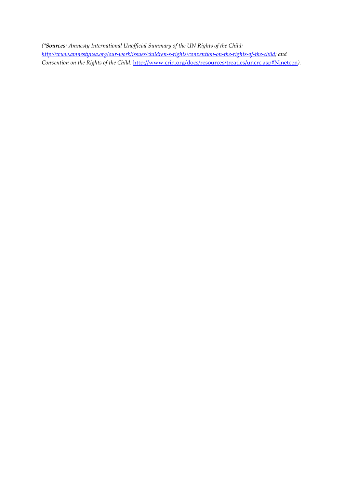*(\*Sources: Amnesty International Unofficial Summary of the UN Rights of the Child: [http://www.amnestyusa.org/our-work/issues/children-s-rights/convention-on-the-rights-of-the-child;](http://www.amnestyusa.org/our-work/issues/children-s-rights/convention-on-the-rights-of-the-child) and Convention on the Rights of the Child:* <http://www.crin.org/docs/resources/treaties/uncrc.asp#Nineteen>*).*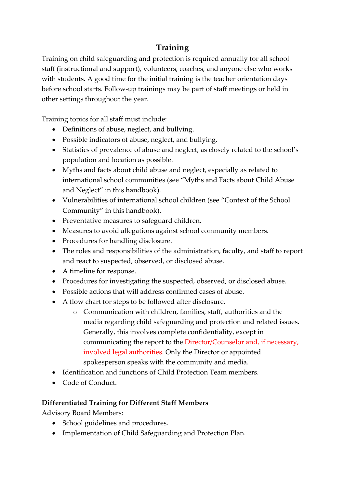## **Training**

Training on child safeguarding and protection is required annually for all school staff (instructional and support), volunteers, coaches, and anyone else who works with students. A good time for the initial training is the teacher orientation days before school starts. Follow-up trainings may be part of staff meetings or held in other settings throughout the year.

Training topics for all staff must include:

- Definitions of abuse, neglect, and bullying.
- Possible indicators of abuse, neglect, and bullying.
- Statistics of prevalence of abuse and neglect, as closely related to the school's population and location as possible.
- Myths and facts about child abuse and neglect, especially as related to international school communities (see "Myths and Facts about Child Abuse and Neglect" in this handbook).
- Vulnerabilities of international school children (see "Context of the School Community" in this handbook).
- Preventative measures to safeguard children.
- Measures to avoid allegations against school community members.
- Procedures for handling disclosure.
- The roles and responsibilities of the administration, faculty, and staff to report and react to suspected, observed, or disclosed abuse.
- A timeline for response.
- Procedures for investigating the suspected, observed, or disclosed abuse.
- Possible actions that will address confirmed cases of abuse.
- A flow chart for steps to be followed after disclosure.
	- o Communication with children, families, staff, authorities and the media regarding child safeguarding and protection and related issues. Generally, this involves complete confidentiality, except in communicating the report to the Director/Counselor and, if necessary, involved legal authorities. Only the Director or appointed spokesperson speaks with the community and media.
- Identification and functions of Child Protection Team members.
- Code of Conduct.

#### **Differentiated Training for Different Staff Members**

Advisory Board Members:

- School guidelines and procedures.
- Implementation of Child Safeguarding and Protection Plan.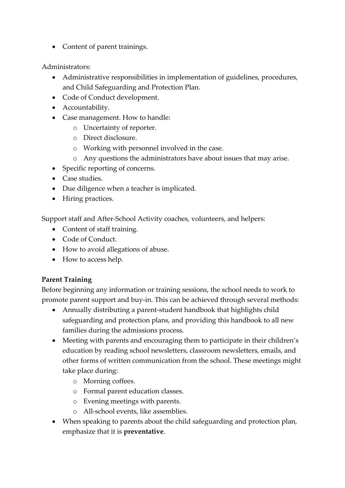• Content of parent trainings.

Administrators:

- Administrative responsibilities in implementation of guidelines, procedures, and Child Safeguarding and Protection Plan.
- Code of Conduct development.
- Accountability.
- Case management. How to handle:
	- o Uncertainty of reporter.
	- o Direct disclosure.
	- o Working with personnel involved in the case.
	- o Any questions the administrators have about issues that may arise.
- Specific reporting of concerns.
- Case studies.
- Due diligence when a teacher is implicated.
- Hiring practices.

Support staff and After-School Activity coaches, volunteers, and helpers:

- Content of staff training.
- Code of Conduct.
- How to avoid allegations of abuse.
- How to access help.

#### **Parent Training**

Before beginning any information or training sessions, the school needs to work to promote parent support and buy-in. This can be achieved through several methods:

- Annually distributing a parent-student handbook that highlights child safeguarding and protection plans, and providing this handbook to all new families during the admissions process.
- Meeting with parents and encouraging them to participate in their children's education by reading school newsletters, classroom newsletters, emails, and other forms of written communication from the school. These meetings might take place during:
	- o Morning coffees.
	- o Formal parent education classes.
	- o Evening meetings with parents.
	- o All-school events, like assemblies.
- When speaking to parents about the child safeguarding and protection plan, emphasize that it is **preventative**.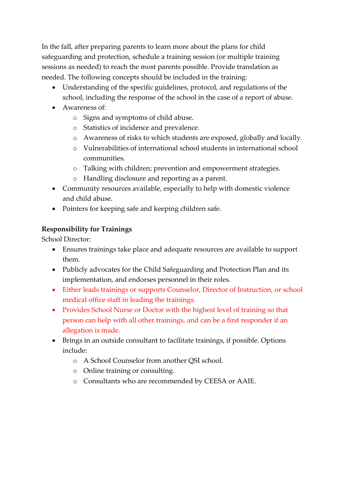In the fall, after preparing parents to learn more about the plans for child safeguarding and protection, schedule a training session (or multiple training sessions as needed) to reach the most parents possible. Provide translation as needed. The following concepts should be included in the training:

- Understanding of the specific guidelines, protocol, and regulations of the school, including the response of the school in the case of a report of abuse.
- Awareness of:
	- o Signs and symptoms of child abuse.
	- o Statistics of incidence and prevalence.
	- o Awareness of risks to which students are exposed, globally and locally.
	- o Vulnerabilities of international school students in international school communities.
	- o Talking with children; prevention and empowerment strategies.
	- o Handling disclosure and reporting as a parent.
- Community resources available, especially to help with domestic violence and child abuse.
- Pointers for keeping safe and keeping children safe.

#### **Responsibility for Trainings**

School Director:

- Ensures trainings take place and adequate resources are available to support them.
- Publicly advocates for the Child Safeguarding and Protection Plan and its implementation, and endorses personnel in their roles.
- Either leads trainings or supports Counselor, Director of Instruction, or school medical office staff in leading the trainings.
- Provides School Nurse or Doctor with the highest level of training so that person can help with all other trainings, and can be a first responder if an allegation is made.
- Brings in an outside consultant to facilitate trainings, if possible. Options include:
	- o A School Counselor from another QSI school.
	- o Online training or consulting.
	- o Consultants who are recommended by CEESA or AAIE.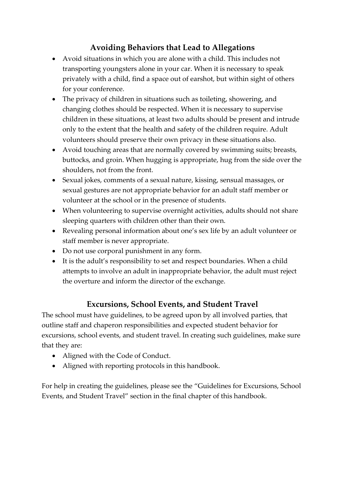## **Avoiding Behaviors that Lead to Allegations**

- Avoid situations in which you are alone with a child. This includes not transporting youngsters alone in your car. When it is necessary to speak privately with a child, find a space out of earshot, but within sight of others for your conference.
- The privacy of children in situations such as toileting, showering, and changing clothes should be respected. When it is necessary to supervise children in these situations, at least two adults should be present and intrude only to the extent that the health and safety of the children require. Adult volunteers should preserve their own privacy in these situations also.
- Avoid touching areas that are normally covered by swimming suits; breasts, buttocks, and groin. When hugging is appropriate, hug from the side over the shoulders, not from the front.
- Sexual jokes, comments of a sexual nature, kissing, sensual massages, or sexual gestures are not appropriate behavior for an adult staff member or volunteer at the school or in the presence of students.
- When volunteering to supervise overnight activities, adults should not share sleeping quarters with children other than their own.
- Revealing personal information about one's sex life by an adult volunteer or staff member is never appropriate.
- Do not use corporal punishment in any form.
- It is the adult's responsibility to set and respect boundaries. When a child attempts to involve an adult in inappropriate behavior, the adult must reject the overture and inform the director of the exchange.

### **Excursions, School Events, and Student Travel**

The school must have guidelines, to be agreed upon by all involved parties, that outline staff and chaperon responsibilities and expected student behavior for excursions, school events, and student travel. In creating such guidelines, make sure that they are:

- Aligned with the Code of Conduct.
- Aligned with reporting protocols in this handbook.

For help in creating the guidelines, please see the "Guidelines for Excursions, School Events, and Student Travel" section in the final chapter of this handbook.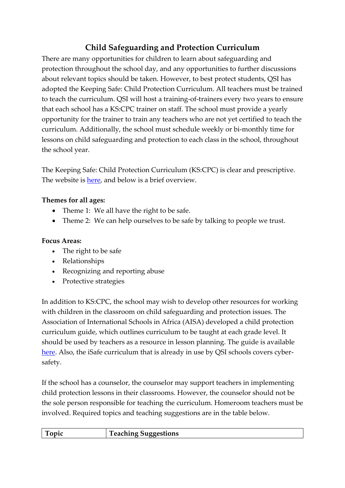## **Child Safeguarding and Protection Curriculum**

There are many opportunities for children to learn about safeguarding and protection throughout the school day, and any opportunities to further discussions about relevant topics should be taken. However, to best protect students, QSI has adopted the Keeping Safe: Child Protection Curriculum. All teachers must be trained to teach the curriculum. QSI will host a training-of-trainers every two years to ensure that each school has a KS:CPC trainer on staff. The school must provide a yearly opportunity for the trainer to train any teachers who are not yet certified to teach the curriculum. Additionally, the school must schedule weekly or bi-monthly time for lessons on child safeguarding and protection to each class in the school, throughout the school year.

The Keeping Safe: Child Protection Curriculum (KS:CPC) is clear and prescriptive. The website is [here,](https://www.education.sa.gov.au/teaching/curriculum-and-teaching/keeping-safe-child-protection-curriculum) and below is a brief overview.

#### **Themes for all ages:**

- Theme 1: We all have the right to be safe.
- Theme 2: We can help ourselves to be safe by talking to people we trust.

#### **Focus Areas:**

- The right to be safe
- Relationships
- Recognizing and reporting abuse
- Protective strategies

In addition to KS:CPC, the school may wish to develop other resources for working with children in the classroom on child safeguarding and protection issues. The Association of International Schools in Africa (AISA) developed a child protection curriculum guide, which outlines curriculum to be taught at each grade level. It should be used by teachers as a resource in lesson planning. The guide is available [here.](https://qsinet-my.sharepoint.com/:b:/g/personal/debbie-downes_qsi_org/Ea5lz7sttChGpYU61aekiY4BqyH7M44ryRAiR2ToJczoOQ?e=N4Ec5K) Also, the iSafe curriculum that is already in use by QSI schools covers cybersafety.

If the school has a counselor, the counselor may support teachers in implementing child protection lessons in their classrooms. However, the counselor should not be the sole person responsible for teaching the curriculum. Homeroom teachers must be involved. Required topics and teaching suggestions are in the table below.

| m | l'eaching Suggestions |
|---|-----------------------|
|   |                       |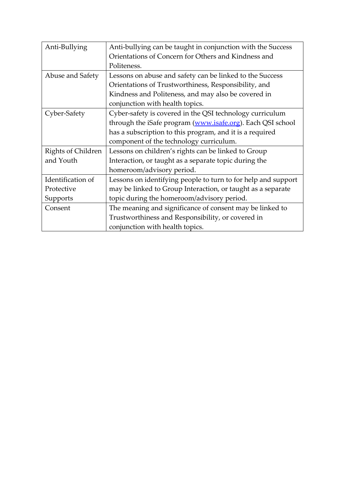| Anti-Bullying      | Anti-bullying can be taught in conjunction with the Success   |  |
|--------------------|---------------------------------------------------------------|--|
|                    | Orientations of Concern for Others and Kindness and           |  |
|                    | Politeness.                                                   |  |
| Abuse and Safety   | Lessons on abuse and safety can be linked to the Success      |  |
|                    | Orientations of Trustworthiness, Responsibility, and          |  |
|                    | Kindness and Politeness, and may also be covered in           |  |
|                    | conjunction with health topics.                               |  |
| Cyber-Safety       | Cyber-safety is covered in the QSI technology curriculum      |  |
|                    | through the iSafe program (www.isafe.org). Each QSI school    |  |
|                    | has a subscription to this program, and it is a required      |  |
|                    | component of the technology curriculum.                       |  |
| Rights of Children | Lessons on children's rights can be linked to Group           |  |
| and Youth          | Interaction, or taught as a separate topic during the         |  |
|                    | homeroom/advisory period.                                     |  |
| Identification of  | Lessons on identifying people to turn to for help and support |  |
| Protective         | may be linked to Group Interaction, or taught as a separate   |  |
| Supports           | topic during the homeroom/advisory period.                    |  |
| Consent            | The meaning and significance of consent may be linked to      |  |
|                    | Trustworthiness and Responsibility, or covered in             |  |
|                    | conjunction with health topics.                               |  |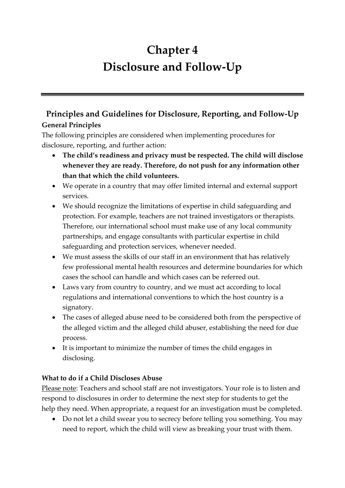## **Chapter 4 Disclosure and Follow-Up**

## **Principles and Guidelines for Disclosure, Reporting, and Follow-Up General Principles**

The following principles are considered when implementing procedures for disclosure, reporting, and further action:

- **The child's readiness and privacy must be respected. The child will disclose whenever they are ready. Therefore, do not push for any information other than that which the child volunteers.**
- We operate in a country that may offer limited internal and external support services.
- We should recognize the limitations of expertise in child safeguarding and protection. For example, teachers are not trained investigators or therapists. Therefore, our international school must make use of any local community partnerships, and engage consultants with particular expertise in child safeguarding and protection services, whenever needed.
- We must assess the skills of our staff in an environment that has relatively few professional mental health resources and determine boundaries for which cases the school can handle and which cases can be referred out.
- Laws vary from country to country, and we must act according to local regulations and international conventions to which the host country is a signatory.
- The cases of alleged abuse need to be considered both from the perspective of the alleged victim and the alleged child abuser, establishing the need for due process.
- It is important to minimize the number of times the child engages in disclosing.

#### **What to do if a Child Discloses Abuse**

Please note: Teachers and school staff are not investigators. Your role is to listen and respond to disclosures in order to determine the next step for students to get the help they need. When appropriate, a request for an investigation must be completed.

• Do not let a child swear you to secrecy before telling you something. You may need to report, which the child will view as breaking your trust with them.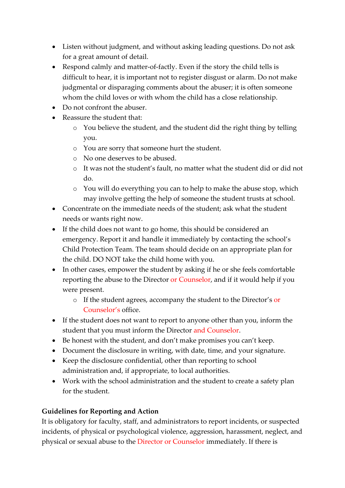- Listen without judgment, and without asking leading questions. Do not ask for a great amount of detail.
- Respond calmly and matter-of-factly. Even if the story the child tells is difficult to hear, it is important not to register disgust or alarm. Do not make judgmental or disparaging comments about the abuser; it is often someone whom the child loves or with whom the child has a close relationship.
- Do not confront the abuser.
- Reassure the student that:
	- o You believe the student, and the student did the right thing by telling you.
	- o You are sorry that someone hurt the student.
	- o No one deserves to be abused.
	- o It was not the student's fault, no matter what the student did or did not do.
	- o You will do everything you can to help to make the abuse stop, which may involve getting the help of someone the student trusts at school.
- Concentrate on the immediate needs of the student; ask what the student needs or wants right now.
- If the child does not want to go home, this should be considered an emergency. Report it and handle it immediately by contacting the school's Child Protection Team. The team should decide on an appropriate plan for the child. DO NOT take the child home with you.
- In other cases, empower the student by asking if he or she feels comfortable reporting the abuse to the Director or Counselor, and if it would help if you were present.
	- o If the student agrees, accompany the student to the Director's or Counselor's office.
- If the student does not want to report to anyone other than you, inform the student that you must inform the Director and Counselor.
- Be honest with the student, and don't make promises you can't keep.
- Document the disclosure in writing, with date, time, and your signature.
- Keep the disclosure confidential, other than reporting to school administration and, if appropriate, to local authorities.
- Work with the school administration and the student to create a safety plan for the student.

#### **Guidelines for Reporting and Action**

It is obligatory for faculty, staff, and administrators to report incidents, or suspected incidents, of physical or psychological violence, aggression, harassment, neglect, and physical or sexual abuse to the Director or Counselor immediately. If there is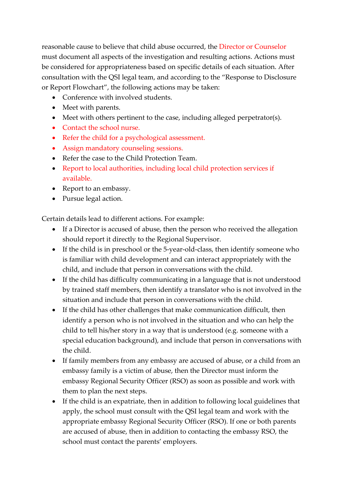reasonable cause to believe that child abuse occurred, the Director or Counselor must document all aspects of the investigation and resulting actions. Actions must be considered for appropriateness based on specific details of each situation. After consultation with the QSI legal team, and according to the "Response to Disclosure or Report Flowchart", the following actions may be taken:

- Conference with involved students.
- Meet with parents.
- Meet with others pertinent to the case, including alleged perpetrator(s).
- Contact the school nurse.
- Refer the child for a psychological assessment.
- Assign mandatory counseling sessions.
- Refer the case to the Child Protection Team.
- Report to local authorities, including local child protection services if available.
- Report to an embassy.
- Pursue legal action.

Certain details lead to different actions. For example:

- If a Director is accused of abuse, then the person who received the allegation should report it directly to the Regional Supervisor.
- If the child is in preschool or the 5-year-old-class, then identify someone who is familiar with child development and can interact appropriately with the child, and include that person in conversations with the child.
- If the child has difficulty communicating in a language that is not understood by trained staff members, then identify a translator who is not involved in the situation and include that person in conversations with the child.
- If the child has other challenges that make communication difficult, then identify a person who is not involved in the situation and who can help the child to tell his/her story in a way that is understood (e.g. someone with a special education background), and include that person in conversations with the child.
- If family members from any embassy are accused of abuse, or a child from an embassy family is a victim of abuse, then the Director must inform the embassy Regional Security Officer (RSO) as soon as possible and work with them to plan the next steps.
- If the child is an expatriate, then in addition to following local guidelines that apply, the school must consult with the QSI legal team and work with the appropriate embassy Regional Security Officer (RSO). If one or both parents are accused of abuse, then in addition to contacting the embassy RSO, the school must contact the parents' employers.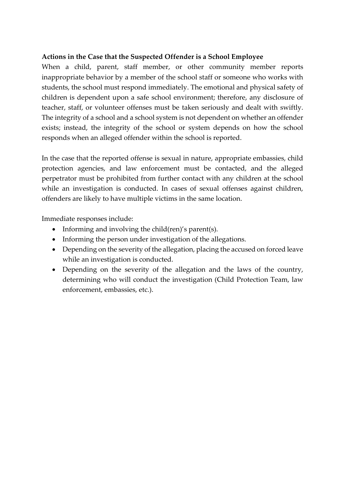#### **Actions in the Case that the Suspected Offender is a School Employee**

When a child, parent, staff member, or other community member reports inappropriate behavior by a member of the school staff or someone who works with students, the school must respond immediately. The emotional and physical safety of children is dependent upon a safe school environment; therefore, any disclosure of teacher, staff, or volunteer offenses must be taken seriously and dealt with swiftly. The integrity of a school and a school system is not dependent on whether an offender exists; instead, the integrity of the school or system depends on how the school responds when an alleged offender within the school is reported.

In the case that the reported offense is sexual in nature, appropriate embassies, child protection agencies, and law enforcement must be contacted, and the alleged perpetrator must be prohibited from further contact with any children at the school while an investigation is conducted. In cases of sexual offenses against children, offenders are likely to have multiple victims in the same location.

Immediate responses include:

- Informing and involving the child(ren)'s parent(s).
- Informing the person under investigation of the allegations.
- Depending on the severity of the allegation, placing the accused on forced leave while an investigation is conducted.
- Depending on the severity of the allegation and the laws of the country, determining who will conduct the investigation (Child Protection Team, law enforcement, embassies, etc.).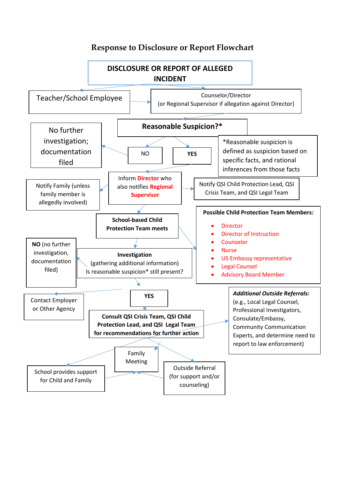

#### **Response to Disclosure or Report Flowchart**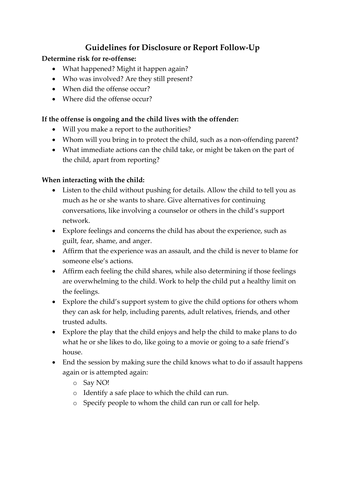## **Guidelines for Disclosure or Report Follow-Up**

#### **Determine risk for re-offense:**

- What happened? Might it happen again?
- Who was involved? Are they still present?
- When did the offense occur?
- Where did the offense occur?

#### **If the offense is ongoing and the child lives with the offender:**

- Will you make a report to the authorities?
- Whom will you bring in to protect the child, such as a non-offending parent?
- What immediate actions can the child take, or might be taken on the part of the child, apart from reporting?

#### **When interacting with the child:**

- Listen to the child without pushing for details. Allow the child to tell you as much as he or she wants to share. Give alternatives for continuing conversations, like involving a counselor or others in the child's support network.
- Explore feelings and concerns the child has about the experience, such as guilt, fear, shame, and anger.
- Affirm that the experience was an assault, and the child is never to blame for someone else's actions.
- Affirm each feeling the child shares, while also determining if those feelings are overwhelming to the child. Work to help the child put a healthy limit on the feelings.
- Explore the child's support system to give the child options for others whom they can ask for help, including parents, adult relatives, friends, and other trusted adults.
- Explore the play that the child enjoys and help the child to make plans to do what he or she likes to do, like going to a movie or going to a safe friend's house.
- End the session by making sure the child knows what to do if assault happens again or is attempted again:
	- o Say NO!
	- o Identify a safe place to which the child can run.
	- o Specify people to whom the child can run or call for help.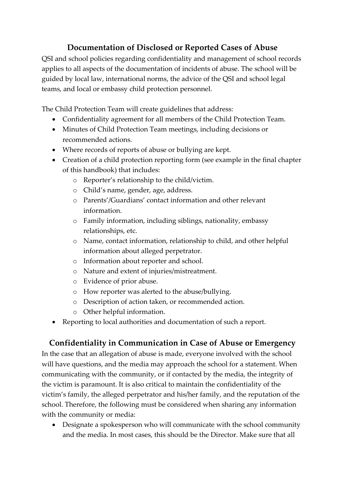## **Documentation of Disclosed or Reported Cases of Abuse**

QSI and school policies regarding confidentiality and management of school records applies to all aspects of the documentation of incidents of abuse. The school will be guided by local law, international norms, the advice of the QSI and school legal teams, and local or embassy child protection personnel.

The Child Protection Team will create guidelines that address:

- Confidentiality agreement for all members of the Child Protection Team.
- Minutes of Child Protection Team meetings, including decisions or recommended actions.
- Where records of reports of abuse or bullying are kept.
- Creation of a child protection reporting form (see example in the final chapter of this handbook) that includes:
	- o Reporter's relationship to the child/victim.
	- o Child's name, gender, age, address.
	- o Parents'/Guardians' contact information and other relevant information.
	- o Family information, including siblings, nationality, embassy relationships, etc.
	- o Name, contact information, relationship to child, and other helpful information about alleged perpetrator.
	- o Information about reporter and school.
	- o Nature and extent of injuries/mistreatment.
	- o Evidence of prior abuse.
	- o How reporter was alerted to the abuse/bullying.
	- o Description of action taken, or recommended action.
	- o Other helpful information.
- Reporting to local authorities and documentation of such a report.

### **Confidentiality in Communication in Case of Abuse or Emergency**

In the case that an allegation of abuse is made, everyone involved with the school will have questions, and the media may approach the school for a statement. When communicating with the community, or if contacted by the media, the integrity of the victim is paramount. It is also critical to maintain the confidentiality of the victim's family, the alleged perpetrator and his/her family, and the reputation of the school. Therefore, the following must be considered when sharing any information with the community or media:

• Designate a spokesperson who will communicate with the school community and the media. In most cases, this should be the Director. Make sure that all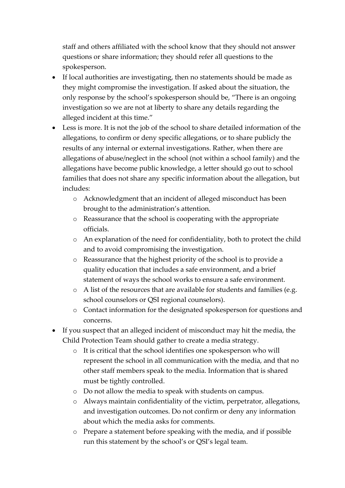staff and others affiliated with the school know that they should not answer questions or share information; they should refer all questions to the spokesperson.

- If local authorities are investigating, then no statements should be made as they might compromise the investigation. If asked about the situation, the only response by the school's spokesperson should be, "There is an ongoing investigation so we are not at liberty to share any details regarding the alleged incident at this time."
- Less is more. It is not the job of the school to share detailed information of the allegations, to confirm or deny specific allegations, or to share publicly the results of any internal or external investigations. Rather, when there are allegations of abuse/neglect in the school (not within a school family) and the allegations have become public knowledge, a letter should go out to school families that does not share any specific information about the allegation, but includes:
	- o Acknowledgment that an incident of alleged misconduct has been brought to the administration's attention.
	- o Reassurance that the school is cooperating with the appropriate officials.
	- o An explanation of the need for confidentiality, both to protect the child and to avoid compromising the investigation.
	- o Reassurance that the highest priority of the school is to provide a quality education that includes a safe environment, and a brief statement of ways the school works to ensure a safe environment.
	- o A list of the resources that are available for students and families (e.g. school counselors or QSI regional counselors).
	- o Contact information for the designated spokesperson for questions and concerns.
- If you suspect that an alleged incident of misconduct may hit the media, the Child Protection Team should gather to create a media strategy.
	- o It is critical that the school identifies one spokesperson who will represent the school in all communication with the media, and that no other staff members speak to the media. Information that is shared must be tightly controlled.
	- o Do not allow the media to speak with students on campus.
	- o Always maintain confidentiality of the victim, perpetrator, allegations, and investigation outcomes. Do not confirm or deny any information about which the media asks for comments.
	- o Prepare a statement before speaking with the media, and if possible run this statement by the school's or QSI's legal team.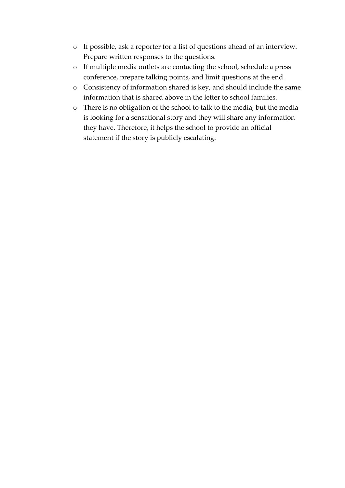- o If possible, ask a reporter for a list of questions ahead of an interview. Prepare written responses to the questions.
- o If multiple media outlets are contacting the school, schedule a press conference, prepare talking points, and limit questions at the end.
- o Consistency of information shared is key, and should include the same information that is shared above in the letter to school families.
- o There is no obligation of the school to talk to the media, but the media is looking for a sensational story and they will share any information they have. Therefore, it helps the school to provide an official statement if the story is publicly escalating.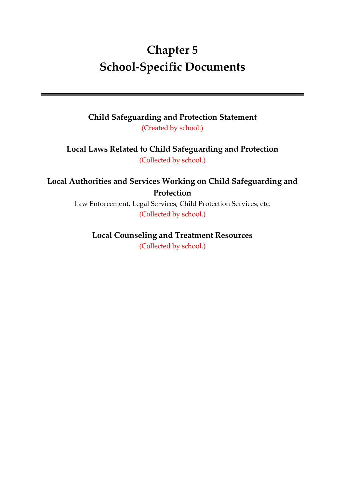# **Chapter 5 School-Specific Documents**

**Child Safeguarding and Protection Statement** (Created by school.)

**Local Laws Related to Child Safeguarding and Protection** (Collected by school.)

**Local Authorities and Services Working on Child Safeguarding and Protection** 

> Law Enforcement, Legal Services, Child Protection Services, etc. (Collected by school.)

# **Local Counseling and Treatment Resources**

(Collected by school.)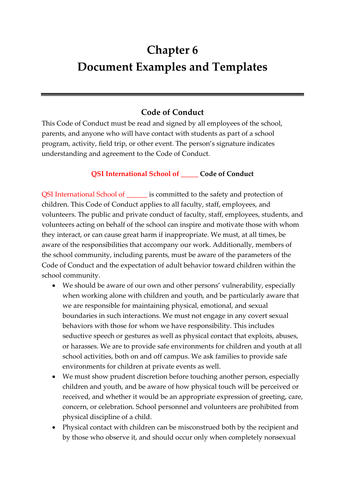# **Chapter 6 Document Examples and Templates**

## **Code of Conduct**

This Code of Conduct must be read and signed by all employees of the school, parents, and anyone who will have contact with students as part of a school program, activity, field trip, or other event. The person's signature indicates understanding and agreement to the Code of Conduct.

#### **QSI International School of \_\_\_\_\_ Code of Conduct**

QSI International School of \_\_\_\_\_\_ is committed to the safety and protection of children. This Code of Conduct applies to all faculty, staff, employees, and volunteers. The public and private conduct of faculty, staff, employees, students, and volunteers acting on behalf of the school can inspire and motivate those with whom they interact, or can cause great harm if inappropriate. We must, at all times, be aware of the responsibilities that accompany our work. Additionally, members of the school community, including parents, must be aware of the parameters of the Code of Conduct and the expectation of adult behavior toward children within the school community.

- We should be aware of our own and other persons' vulnerability, especially when working alone with children and youth, and be particularly aware that we are responsible for maintaining physical, emotional, and sexual boundaries in such interactions. We must not engage in any covert sexual behaviors with those for whom we have responsibility. This includes seductive speech or gestures as well as physical contact that exploits, abuses, or harasses. We are to provide safe environments for children and youth at all school activities, both on and off campus. We ask families to provide safe environments for children at private events as well.
- We must show prudent discretion before touching another person, especially children and youth, and be aware of how physical touch will be perceived or received, and whether it would be an appropriate expression of greeting, care, concern, or celebration. School personnel and volunteers are prohibited from physical discipline of a child.
- Physical contact with children can be misconstrued both by the recipient and by those who observe it, and should occur only when completely nonsexual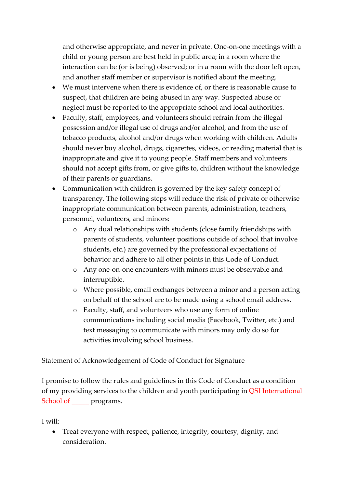and otherwise appropriate, and never in private. One-on-one meetings with a child or young person are best held in public area; in a room where the interaction can be (or is being) observed; or in a room with the door left open, and another staff member or supervisor is notified about the meeting.

- We must intervene when there is evidence of, or there is reasonable cause to suspect, that children are being abused in any way. Suspected abuse or neglect must be reported to the appropriate school and local authorities.
- Faculty, staff, employees, and volunteers should refrain from the illegal possession and/or illegal use of drugs and/or alcohol, and from the use of tobacco products, alcohol and/or drugs when working with children. Adults should never buy alcohol, drugs, cigarettes, videos, or reading material that is inappropriate and give it to young people. Staff members and volunteers should not accept gifts from, or give gifts to, children without the knowledge of their parents or guardians.
- Communication with children is governed by the key safety concept of transparency. The following steps will reduce the risk of private or otherwise inappropriate communication between parents, administration, teachers, personnel, volunteers, and minors:
	- o Any dual relationships with students (close family friendships with parents of students, volunteer positions outside of school that involve students, etc.) are governed by the professional expectations of behavior and adhere to all other points in this Code of Conduct.
	- o Any one-on-one encounters with minors must be observable and interruptible.
	- o Where possible, email exchanges between a minor and a person acting on behalf of the school are to be made using a school email address.
	- o Faculty, staff, and volunteers who use any form of online communications including social media (Facebook, Twitter, etc.) and text messaging to communicate with minors may only do so for activities involving school business.

Statement of Acknowledgement of Code of Conduct for Signature

I promise to follow the rules and guidelines in this Code of Conduct as a condition of my providing services to the children and youth participating in QSI International School of <u>programs</u>.

I will:

• Treat everyone with respect, patience, integrity, courtesy, dignity, and consideration.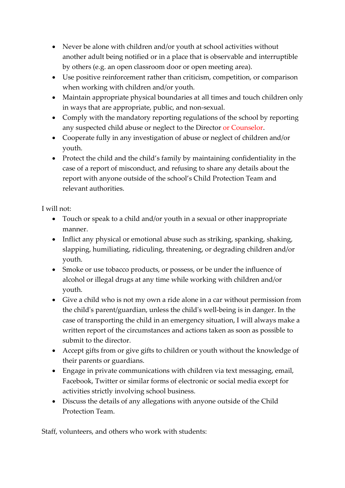- Never be alone with children and/or youth at school activities without another adult being notified or in a place that is observable and interruptible by others (e.g. an open classroom door or open meeting area).
- Use positive reinforcement rather than criticism, competition, or comparison when working with children and/or youth.
- Maintain appropriate physical boundaries at all times and touch children only in ways that are appropriate, public, and non-sexual.
- Comply with the mandatory reporting regulations of the school by reporting any suspected child abuse or neglect to the Director or Counselor.
- Cooperate fully in any investigation of abuse or neglect of children and/or youth.
- Protect the child and the child's family by maintaining confidentiality in the case of a report of misconduct, and refusing to share any details about the report with anyone outside of the school's Child Protection Team and relevant authorities.

I will not:

- Touch or speak to a child and/or youth in a sexual or other inappropriate manner.
- Inflict any physical or emotional abuse such as striking, spanking, shaking, slapping, humiliating, ridiculing, threatening, or degrading children and/or youth.
- Smoke or use tobacco products, or possess, or be under the influence of alcohol or illegal drugs at any time while working with children and/or youth.
- Give a child who is not my own a ride alone in a car without permission from the child's parent/guardian, unless the child's well-being is in danger. In the case of transporting the child in an emergency situation, I will always make a written report of the circumstances and actions taken as soon as possible to submit to the director.
- Accept gifts from or give gifts to children or youth without the knowledge of their parents or guardians.
- Engage in private communications with children via text messaging, email, Facebook, Twitter or similar forms of electronic or social media except for activities strictly involving school business.
- Discuss the details of any allegations with anyone outside of the Child Protection Team.

Staff, volunteers, and others who work with students: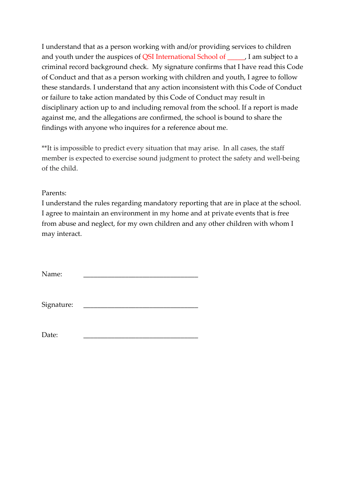I understand that as a person working with and/or providing services to children and youth under the auspices of QSI International School of \_\_\_\_\_, I am subject to a criminal record background check. My signature confirms that I have read this Code of Conduct and that as a person working with children and youth, I agree to follow these standards. I understand that any action inconsistent with this Code of Conduct or failure to take action mandated by this Code of Conduct may result in disciplinary action up to and including removal from the school. If a report is made against me, and the allegations are confirmed, the school is bound to share the findings with anyone who inquires for a reference about me.

\*\*It is impossible to predict every situation that may arise. In all cases, the staff member is expected to exercise sound judgment to protect the safety and well-being of the child.

Parents:

I understand the rules regarding mandatory reporting that are in place at the school. I agree to maintain an environment in my home and at private events that is free from abuse and neglect, for my own children and any other children with whom I may interact.

Name:

Signature:

Date: \_\_\_\_\_\_\_\_\_\_\_\_\_\_\_\_\_\_\_\_\_\_\_\_\_\_\_\_\_\_\_\_\_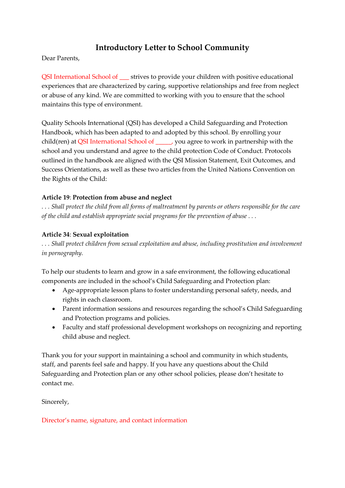# **Introductory Letter to School Community**

Dear Parents,

QSI International School of \_\_\_ strives to provide your children with positive educational experiences that are characterized by caring, supportive relationships and free from neglect or abuse of any kind. We are committed to working with you to ensure that the school maintains this type of environment.

Quality Schools International (QSI) has developed a Child Safeguarding and Protection Handbook, which has been adapted to and adopted by this school. By enrolling your child(ren) at QSI International School of \_\_\_\_\_, you agree to work in partnership with the school and you understand and agree to the child protection Code of Conduct. Protocols outlined in the handbook are aligned with the QSI Mission Statement, Exit Outcomes, and Success Orientations, as well as these two articles from the United Nations Convention on the Rights of the Child:

#### **Article 19**: **Protection from abuse and neglect**

*. . . Shall protect the child from all forms of maltreatment by parents or others responsible for the care of the child and establish appropriate social programs for the prevention of abuse . . .*

#### **Article 34**: **Sexual exploitation**

*. . . Shall protect children from sexual exploitation and abuse, including prostitution and involvement in pornography.* 

To help our students to learn and grow in a safe environment, the following educational components are included in the school's Child Safeguarding and Protection plan:

- Age-appropriate lesson plans to foster understanding personal safety, needs, and rights in each classroom.
- Parent information sessions and resources regarding the school's Child Safeguarding and Protection programs and policies.
- Faculty and staff professional development workshops on recognizing and reporting child abuse and neglect.

Thank you for your support in maintaining a school and community in which students, staff, and parents feel safe and happy. If you have any questions about the Child Safeguarding and Protection plan or any other school policies, please don't hesitate to contact me.

Sincerely,

Director's name, signature, and contact information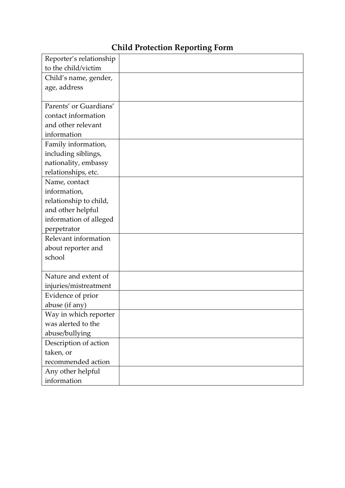# **Child Protection Reporting Form**

| Reporter's relationship |  |
|-------------------------|--|
| to the child/victim     |  |
| Child's name, gender,   |  |
| age, address            |  |
|                         |  |
| Parents' or Guardians'  |  |
| contact information     |  |
| and other relevant      |  |
| information             |  |
| Family information,     |  |
| including siblings,     |  |
| nationality, embassy    |  |
| relationships, etc.     |  |
| Name, contact           |  |
| information,            |  |
| relationship to child,  |  |
| and other helpful       |  |
| information of alleged  |  |
| perpetrator             |  |
| Relevant information    |  |
| about reporter and      |  |
| school                  |  |
|                         |  |
| Nature and extent of    |  |
| injuries/mistreatment   |  |
| Evidence of prior       |  |
| abuse (if any)          |  |
| Way in which reporter   |  |
| was alerted to the      |  |
| abuse/bullying          |  |
| Description of action   |  |
| taken, or               |  |
| recommended action      |  |
| Any other helpful       |  |
| information             |  |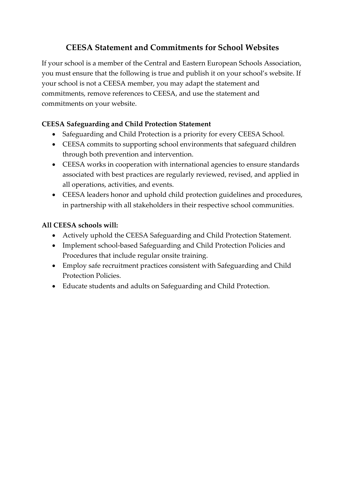# **CEESA Statement and Commitments for School Websites**

If your school is a member of the Central and Eastern European Schools Association, you must ensure that the following is true and publish it on your school's website. If your school is not a CEESA member, you may adapt the statement and commitments, remove references to CEESA, and use the statement and commitments on your website.

## **CEESA Safeguarding and Child Protection Statement**

- Safeguarding and Child Protection is a priority for every CEESA School.
- CEESA commits to supporting school environments that safeguard children through both prevention and intervention.
- CEESA works in cooperation with international agencies to ensure standards associated with best practices are regularly reviewed, revised, and applied in all operations, activities, and events.
- CEESA leaders honor and uphold child protection guidelines and procedures, in partnership with all stakeholders in their respective school communities.

## **All CEESA schools will:**

- Actively uphold the CEESA Safeguarding and Child Protection Statement.
- Implement school-based Safeguarding and Child Protection Policies and Procedures that include regular onsite training.
- Employ safe recruitment practices consistent with Safeguarding and Child Protection Policies.
- Educate students and adults on Safeguarding and Child Protection.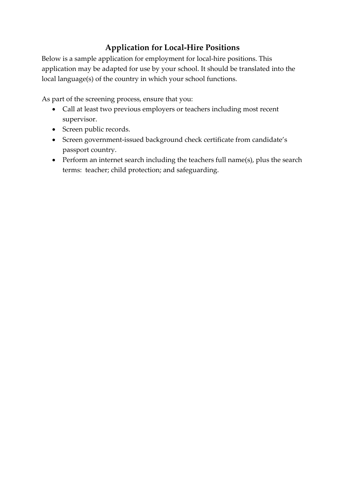# **Application for Local-Hire Positions**

Below is a sample application for employment for local-hire positions. This application may be adapted for use by your school. It should be translated into the local language(s) of the country in which your school functions.

As part of the screening process, ensure that you:

- Call at least two previous employers or teachers including most recent supervisor.
- Screen public records.
- Screen government-issued background check certificate from candidate's passport country.
- Perform an internet search including the teachers full name(s), plus the search terms: teacher; child protection; and safeguarding.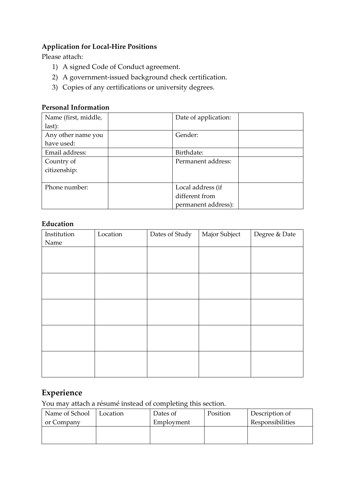## **Application for Local-Hire Positions**

Please attach:

- 1) A signed Code of Conduct agreement.
- 2) A government-issued background check certification.
- 3) Copies of any certifications or university degrees.

#### **Personal Information**

| Name (first, middle, | Date of application: |  |
|----------------------|----------------------|--|
| last):               |                      |  |
| Any other name you   | Gender:              |  |
| have used:           |                      |  |
| Email address:       | Birthdate:           |  |
| Country of           | Permanent address:   |  |
| citizenship:         |                      |  |
|                      |                      |  |
| Phone number:        | Local address (if    |  |
|                      | different from       |  |
|                      | permanent address):  |  |

#### **Education**

| Institution | Location | Dates of Study | Major Subject | Degree & Date |
|-------------|----------|----------------|---------------|---------------|
| Name        |          |                |               |               |
|             |          |                |               |               |
|             |          |                |               |               |
|             |          |                |               |               |
|             |          |                |               |               |
|             |          |                |               |               |
|             |          |                |               |               |
|             |          |                |               |               |
|             |          |                |               |               |
|             |          |                |               |               |
|             |          |                |               |               |
|             |          |                |               |               |
|             |          |                |               |               |
|             |          |                |               |               |
|             |          |                |               |               |
|             |          |                |               |               |

# **Experience**

You may attach a résumé instead of completing this section.

| Name of School | Location | Dates of   | Position | Description of   |
|----------------|----------|------------|----------|------------------|
| or Company     |          | Employment |          | Responsibilities |
|                |          |            |          |                  |
|                |          |            |          |                  |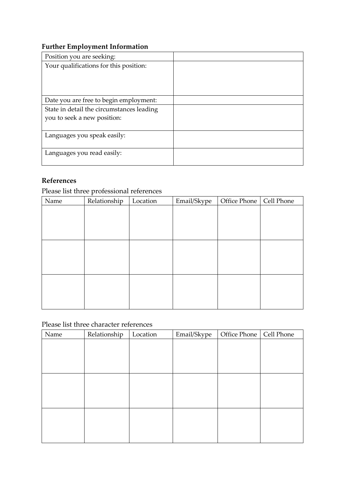## **Further Employment Information**

| Position you are seeking:                 |  |
|-------------------------------------------|--|
| Your qualifications for this position:    |  |
|                                           |  |
|                                           |  |
|                                           |  |
| Date you are free to begin employment:    |  |
| State in detail the circumstances leading |  |
| you to seek a new position:               |  |
|                                           |  |
| Languages you speak easily:               |  |
|                                           |  |
| Languages you read easily:                |  |
|                                           |  |

#### **References**

| 11010101100 |                                           |          |             |                           |  |
|-------------|-------------------------------------------|----------|-------------|---------------------------|--|
|             | Please list three professional references |          |             |                           |  |
| Name        | Relationship                              | Location | Email/Skype | Office Phone   Cell Phone |  |
|             |                                           |          |             |                           |  |
|             |                                           |          |             |                           |  |
|             |                                           |          |             |                           |  |
|             |                                           |          |             |                           |  |
|             |                                           |          |             |                           |  |
|             |                                           |          |             |                           |  |
|             |                                           |          |             |                           |  |
|             |                                           |          |             |                           |  |
|             |                                           |          |             |                           |  |
|             |                                           |          |             |                           |  |
|             |                                           |          |             |                           |  |

#### Please list three character references

| Name | Relationship | Location | Email/Skype | Office Phone   Cell Phone |  |
|------|--------------|----------|-------------|---------------------------|--|
|      |              |          |             |                           |  |
|      |              |          |             |                           |  |
|      |              |          |             |                           |  |
|      |              |          |             |                           |  |
|      |              |          |             |                           |  |
|      |              |          |             |                           |  |
|      |              |          |             |                           |  |
|      |              |          |             |                           |  |
|      |              |          |             |                           |  |
|      |              |          |             |                           |  |
|      |              |          |             |                           |  |
|      |              |          |             |                           |  |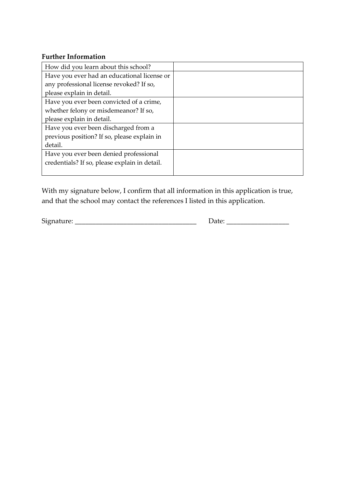#### **Further Information**

| How did you learn about this school?          |  |
|-----------------------------------------------|--|
| Have you ever had an educational license or   |  |
| any professional license revoked? If so,      |  |
| please explain in detail.                     |  |
| Have you ever been convicted of a crime,      |  |
| whether felony or misdemeanor? If so,         |  |
| please explain in detail.                     |  |
| Have you ever been discharged from a          |  |
| previous position? If so, please explain in   |  |
| detail.                                       |  |
| Have you ever been denied professional        |  |
| credentials? If so, please explain in detail. |  |
|                                               |  |

With my signature below, I confirm that all information in this application is true, and that the school may contact the references I listed in this application.

Signature: \_\_\_\_\_\_\_\_\_\_\_\_\_\_\_\_\_\_\_\_\_\_\_\_\_\_\_\_\_\_\_\_\_\_\_ Date: \_\_\_\_\_\_\_\_\_\_\_\_\_\_\_\_\_\_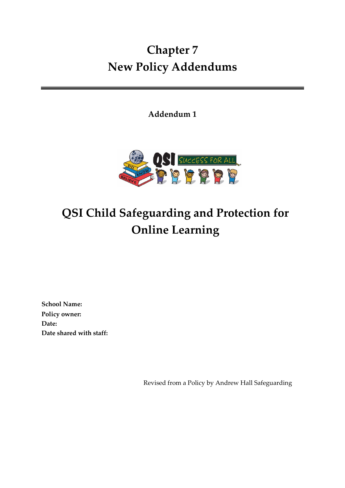# <span id="page-50-0"></span>**Chapter 7 New Policy Addendums**

**Addendum 1**



# **QSI Child Safeguarding and Protection for Online Learning**

**School Name: Policy owner: Date: Date shared with staff:** 

Revised from a Policy by Andrew Hall Safeguarding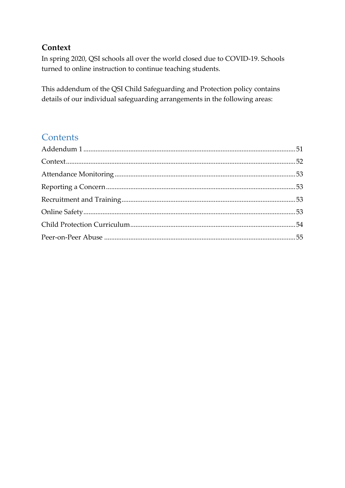# <span id="page-51-0"></span>**Context**

In spring 2020, QSI schools all over the world closed due to COVID-19. Schools turned to online instruction to continue teaching students.

This addendum of the QSI Child Safeguarding and Protection policy contains details of our individual safeguarding arrangements in the following areas:

# **Contents**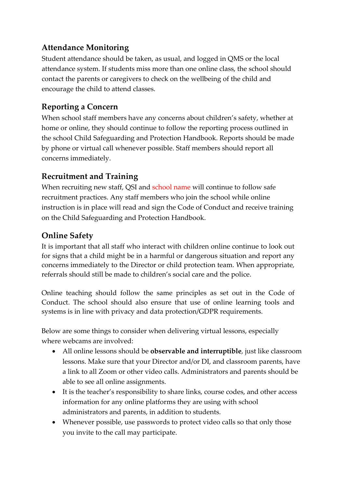# <span id="page-52-0"></span>**Attendance Monitoring**

Student attendance should be taken, as usual, and logged in QMS or the local attendance system. If students miss more than one online class, the school should contact the parents or caregivers to check on the wellbeing of the child and encourage the child to attend classes.

# <span id="page-52-1"></span>**Reporting a Concern**

When school staff members have any concerns about children's safety, whether at home or online, they should continue to follow the reporting process outlined in the school Child Safeguarding and Protection Handbook. Reports should be made by phone or virtual call whenever possible. Staff members should report all concerns immediately.

# <span id="page-52-2"></span>**Recruitment and Training**

When recruiting new staff, QSI and school name will continue to follow safe recruitment practices. Any staff members who join the school while online instruction is in place will read and sign the Code of Conduct and receive training on the Child Safeguarding and Protection Handbook.

# <span id="page-52-3"></span>**Online Safety**

It is important that all staff who interact with children online continue to look out for signs that a child might be in a harmful or dangerous situation and report any concerns immediately to the Director or child protection team. When appropriate, referrals should still be made to children's social care and the police.

Online teaching should follow the same principles as set out in the Code of Conduct. The school should also ensure that use of online learning tools and systems is in line with privacy and data protection/GDPR requirements.

Below are some things to consider when delivering virtual lessons, especially where webcams are involved:

- All online lessons should be **observable and interruptible**, just like classroom lessons. Make sure that your Director and/or DI, and classroom parents, have a link to all Zoom or other video calls. Administrators and parents should be able to see all online assignments.
- It is the teacher's responsibility to share links, course codes, and other access information for any online platforms they are using with school administrators and parents, in addition to students.
- Whenever possible, use passwords to protect video calls so that only those you invite to the call may participate.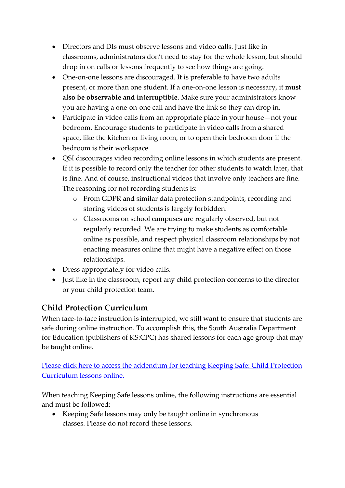- Directors and DIs must observe lessons and video calls. Just like in classrooms, administrators don't need to stay for the whole lesson, but should drop in on calls or lessons frequently to see how things are going.
- One-on-one lessons are discouraged. It is preferable to have two adults present, or more than one student. If a one-on-one lesson is necessary, it **must also be observable and interruptible**. Make sure your administrators know you are having a one-on-one call and have the link so they can drop in.
- Participate in video calls from an appropriate place in your house—not your bedroom. Encourage students to participate in video calls from a shared space, like the kitchen or living room, or to open their bedroom door if the bedroom is their workspace.
- QSI discourages video recording online lessons in which students are present. If it is possible to record only the teacher for other students to watch later, that is fine. And of course, instructional videos that involve only teachers are fine. The reasoning for not recording students is:
	- o From GDPR and similar data protection standpoints, recording and storing videos of students is largely forbidden.
	- o Classrooms on school campuses are regularly observed, but not regularly recorded. We are trying to make students as comfortable online as possible, and respect physical classroom relationships by not enacting measures online that might have a negative effect on those relationships.
- Dress appropriately for video calls.
- Just like in the classroom, report any child protection concerns to the director or your child protection team.

# <span id="page-53-0"></span>**Child Protection Curriculum**

When face-to-face instruction is interrupted, we still want to ensure that students are safe during online instruction. To accomplish this, the South Australia Department for Education (publishers of KS:CPC) has shared lessons for each age group that may be taught online.

[Please click here to access the addendum for teaching Keeping Safe: Child Protection](https://qsinet.sharepoint.com/:b:/r/sites/QSICurriculumandResources/Shared%20Documents/Keeping%20Safe%20Materials/Keeping%20Safe%20Online%20Learning%20Addendum.pdf?csf=1&web=1&e=DOmGXK)  [Curriculum lessons online.](https://qsinet.sharepoint.com/:b:/r/sites/QSICurriculumandResources/Shared%20Documents/Keeping%20Safe%20Materials/Keeping%20Safe%20Online%20Learning%20Addendum.pdf?csf=1&web=1&e=DOmGXK) 

When teaching Keeping Safe lessons online, the following instructions are essential and must be followed:

• Keeping Safe lessons may only be taught online in synchronous classes. Please do not record these lessons.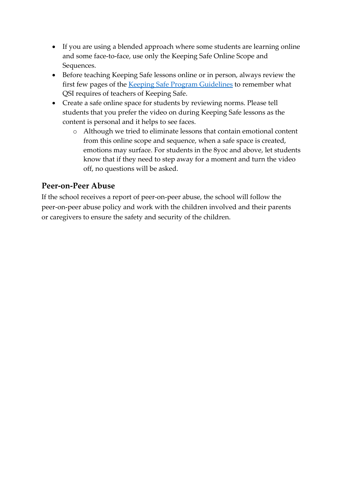- If you are using a blended approach where some students are learning online and some face-to-face, use only the Keeping Safe Online Scope and Sequences.
- Before teaching Keeping Safe lessons online or in person, always review the first few pages of the [Keeping Safe](https://qsinet.sharepoint.com/:b:/r/sites/QSICurriculumandResources/Shared%20Documents/Keeping%20Safe%20Materials/QSI%20Keeping%20Safe%20Guidelines%202019.pdf?csf=1&web=1&e=i3JA9m) Program Guidelines to remember what QSI requires of teachers of Keeping Safe.
- Create a safe online space for students by reviewing norms. Please tell students that you prefer the video on during Keeping Safe lessons as the content is personal and it helps to see faces.
	- o Although we tried to eliminate lessons that contain emotional content from this online scope and sequence, when a safe space is created, emotions may surface. For students in the 8yoc and above, let students know that if they need to step away for a moment and turn the video off, no questions will be asked.

# <span id="page-54-0"></span>**Peer-on-Peer Abuse**

If the school receives a report of peer-on-peer abuse, the school will follow the peer-on-peer abuse policy and work with the children involved and their parents or caregivers to ensure the safety and security of the children.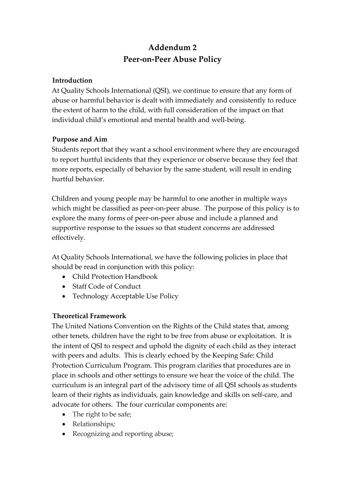# **Addendum 2 Peer-on-Peer Abuse Policy**

### **Introduction**

At Quality Schools International (QSI), we continue to ensure that any form of abuse or harmful behavior is dealt with immediately and consistently to reduce the extent of harm to the child, with full consideration of the impact on that individual child's emotional and mental health and well-being.

#### **Purpose and Aim**

Students report that they want a school environment where they are encouraged to report hurtful incidents that they experience or observe because they feel that more reports, especially of behavior by the same student, will result in ending hurtful behavior.

Children and young people may be harmful to one another in multiple ways which might be classified as peer-on-peer abuse. The purpose of this policy is to explore the many forms of peer-on-peer abuse and include a planned and supportive response to the issues so that student concerns are addressed effectively.

At Quality Schools International, we have the following policies in place that should be read in conjunction with this policy:

- Child Protection Handbook
- Staff Code of Conduct
- Technology Acceptable Use Policy

## **Theoretical Framework**

The United Nations Convention on the Rights of the Child states that, among other tenets, children have the right to be free from abuse or exploitation. It is the intent of QSI to respect and uphold the dignity of each child as they interact with peers and adults. This is clearly echoed by the Keeping Safe: Child Protection Curriculum Program. This program clarifies that procedures are in place in schools and other settings to ensure we hear the voice of the child. The curriculum is an integral part of the advisory time of all QSI schools as students learn of their rights as individuals, gain knowledge and skills on self-care, and advocate for others. The four curricular components are:

- The right to be safe;
- Relationships;
- Recognizing and reporting abuse;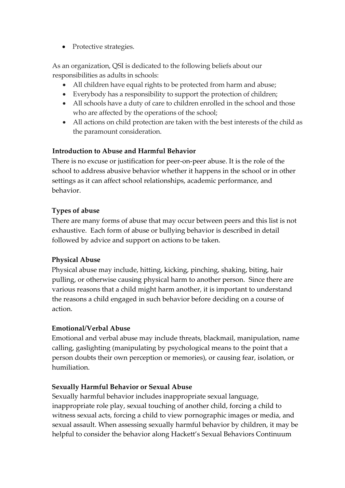• Protective strategies.

As an organization, QSI is dedicated to the following beliefs about our responsibilities as adults in schools:

- All children have equal rights to be protected from harm and abuse;
- Everybody has a responsibility to support the protection of children;
- All schools have a duty of care to children enrolled in the school and those who are affected by the operations of the school;
- All actions on child protection are taken with the best interests of the child as the paramount consideration.

#### **Introduction to Abuse and Harmful Behavior**

There is no excuse or justification for peer-on-peer abuse. It is the role of the school to address abusive behavior whether it happens in the school or in other settings as it can affect school relationships, academic performance, and behavior.

#### **Types of abuse**

There are many forms of abuse that may occur between peers and this list is not exhaustive. Each form of abuse or bullying behavior is described in detail followed by advice and support on actions to be taken.

#### **Physical Abuse**

Physical abuse may include, hitting, kicking, pinching, shaking, biting, hair pulling, or otherwise causing physical harm to another person. Since there are various reasons that a child might harm another, it is important to understand the reasons a child engaged in such behavior before deciding on a course of action.

#### **Emotional/Verbal Abuse**

Emotional and verbal abuse may include threats, blackmail, manipulation, name calling, gaslighting (manipulating by psychological means to the point that a person doubts their own perception or memories), or causing fear, isolation, or humiliation.

#### **Sexually Harmful Behavior or Sexual Abuse**

Sexually harmful behavior includes inappropriate sexual language, inappropriate role play, sexual touching of another child, forcing a child to witness sexual acts, forcing a child to view pornographic images or media, and sexual assault. When assessing sexually harmful behavior by children, it may be helpful to consider the behavior along Hackett's Sexual Behaviors Continuum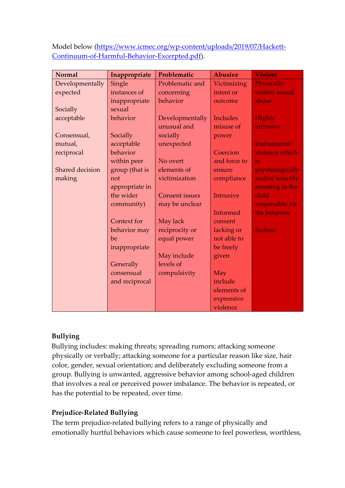Model below [\(https://www.icmec.org/wp-content/uploads/2019/07/Hackett-](https://www.icmec.org/wp-content/uploads/2019/07/Hackett-Continuum-of-Harmful-Behavior-Excerpted.pdf)[Continuum-of-Harmful-Behavior-Excerpted.pdf\)](https://www.icmec.org/wp-content/uploads/2019/07/Hackett-Continuum-of-Harmful-Behavior-Excerpted.pdf).

| <b>Normal</b>   | Inappropriate  | Problematic           | <b>Abusive</b>  | <b>Violent</b>      |
|-----------------|----------------|-----------------------|-----------------|---------------------|
| Developmentally | Single         | Problematic and       | Victimizing     | Physically          |
| expected        | instances of   | concerning            | intent or       | violent sexual      |
|                 | inappropriate  | behavior              | outcome         | abuse               |
| Socially        | sexual         |                       |                 |                     |
| acceptable      | behavior       | Developmentally       | <b>Includes</b> | Highly              |
|                 |                | unusual and           | misuse of       | intrusive           |
| Consensual,     | Socially       | socially              | power           |                     |
| mutual,         | acceptable     | unexpected            |                 | <b>Instrumental</b> |
| reciprocal      | behavior       |                       | Coercion        | violence which      |
|                 | within peer    | No overt              | and force to    | is                  |
| Shared decision | group (that is | elements of           | ensure          | psychologically     |
| making          | not            | victimization         | compliance      | and/or sexually     |
|                 | appropriate in |                       |                 | arousing to the     |
|                 | the wider      | <b>Consent issues</b> | Intrusive       | child               |
|                 | community)     | may be unclear        |                 | responsible for     |
|                 |                |                       | Informed        | the behavior        |
|                 | Context for    | May lack              | consent         |                     |
|                 | behavior may   | reciprocity or        | lacking or      | <b>Sadism</b>       |
|                 | be             | equal power           | not able to     |                     |
|                 | inappropriate  |                       | be freely       |                     |
|                 |                | May include           | given           |                     |
|                 | Generally      | levels of             |                 |                     |
|                 | consensual     | compulsivity          | May             |                     |
|                 | and reciprocal |                       | include         |                     |
|                 |                |                       | elements of     |                     |
|                 |                |                       | expressive      |                     |
|                 |                |                       | violence        |                     |

#### **Bullying**

Bullying includes: making threats; spreading rumors; attacking someone physically or verbally; attacking someone for a particular reason like size, hair color, gender, sexual orientation; and deliberately excluding someone from a group. Bullying is unwanted, aggressive behavior among school-aged children that involves a real or perceived power imbalance. The behavior is repeated, or has the potential to be repeated, over time.

#### **Prejudice-Related Bullying**

The term prejudice-related bullying refers to a range of physically and emotionally hurtful behaviors which cause someone to feel powerless, worthless,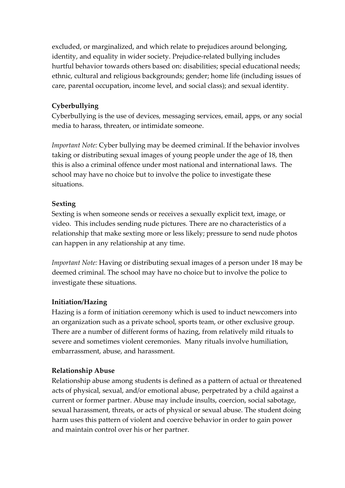excluded, or marginalized, and which relate to prejudices around belonging, identity, and equality in wider society. Prejudice-related bullying includes hurtful behavior towards others based on: disabilities; special educational needs; ethnic, cultural and religious backgrounds; gender; home life (including issues of care, parental occupation, income level, and social class); and sexual identity.

#### **Cyberbullying**

Cyberbullying is the use of devices, messaging services, email, apps, or any social media to harass, threaten, or intimidate someone.

*Important Note:* Cyber bullying may be deemed criminal. If the behavior involves taking or distributing sexual images of young people under the age of 18, then this is also a criminal offence under most national and international laws. The school may have no choice but to involve the police to investigate these situations.

#### **Sexting**

Sexting is when someone sends or receives a sexually explicit text, image, or video. This includes sending nude pictures. There are no characteristics of a relationship that make sexting more or less likely; pressure to send nude photos can happen in any relationship at any time.

*Important Note:* Having or distributing sexual images of a person under 18 may be deemed criminal. The school may have no choice but to involve the police to investigate these situations.

## **Initiation/Hazing**

Hazing is a form of initiation ceremony which is used to induct newcomers into an organization such as a private school, sports team, or other exclusive group. There are a number of different forms of hazing, from relatively mild rituals to severe and sometimes violent ceremonies. Many rituals involve humiliation, embarrassment, abuse, and harassment.

## **Relationship Abuse**

Relationship abuse among students is defined as a pattern of actual or threatened acts of physical, sexual, and/or emotional abuse, perpetrated by a child against a current or former partner. Abuse may include insults, coercion, social sabotage, sexual harassment, threats, or acts of physical or sexual abuse. The student doing harm uses this pattern of violent and coercive behavior in order to gain power and maintain control over his or her partner.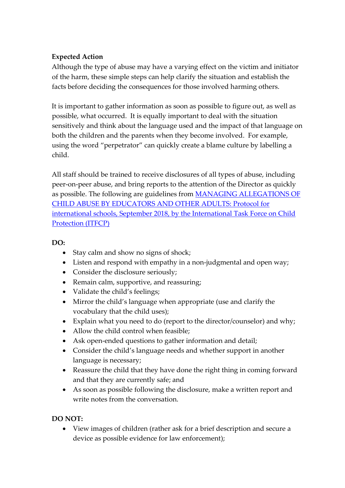## **Expected Action**

Although the type of abuse may have a varying effect on the victim and initiator of the harm, these simple steps can help clarify the situation and establish the facts before deciding the consequences for those involved harming others.

It is important to gather information as soon as possible to figure out, as well as possible, what occurred. It is equally important to deal with the situation sensitively and think about the language used and the impact of that language on both the children and the parents when they become involved. For example, using the word "perpetrator" can quickly create a blame culture by labelling a child.

All staff should be trained to receive disclosures of all types of abuse, including peer-on-peer abuse, and bring reports to the attention of the Director as quickly as possible. The following are guidelines from [MANAGING ALLEGATIONS OF](https://www.icmec.org/wp-content/uploads/2018/09/Protocol-Managing-Allegations-of-Child-Abuse-by-Educators-and-other-Adults.pdf)  [CHILD ABUSE BY EDUCATORS AND OTHER ADULTS: Protocol for](https://www.icmec.org/wp-content/uploads/2018/09/Protocol-Managing-Allegations-of-Child-Abuse-by-Educators-and-other-Adults.pdf)  [international schools, September 2018, by the International Task Force on Child](https://www.icmec.org/wp-content/uploads/2018/09/Protocol-Managing-Allegations-of-Child-Abuse-by-Educators-and-other-Adults.pdf)  [Protection \(ITFCP\)](https://www.icmec.org/wp-content/uploads/2018/09/Protocol-Managing-Allegations-of-Child-Abuse-by-Educators-and-other-Adults.pdf)

## **DO:**

- Stay calm and show no signs of shock;
- Listen and respond with empathy in a non-judgmental and open way;
- Consider the disclosure seriously;
- Remain calm, supportive, and reassuring;
- Validate the child's feelings;
- Mirror the child's language when appropriate (use and clarify the vocabulary that the child uses);
- Explain what you need to do (report to the director/counselor) and why;
- Allow the child control when feasible;
- Ask open-ended questions to gather information and detail;
- Consider the child's language needs and whether support in another language is necessary;
- Reassure the child that they have done the right thing in coming forward and that they are currently safe; and
- As soon as possible following the disclosure, make a written report and write notes from the conversation.

## **DO NOT:**

• View images of children (rather ask for a brief description and secure a device as possible evidence for law enforcement);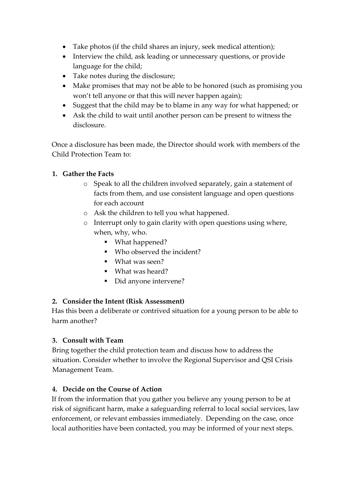- Take photos (if the child shares an injury, seek medical attention);
- Interview the child, ask leading or unnecessary questions, or provide language for the child;
- Take notes during the disclosure;
- Make promises that may not be able to be honored (such as promising you won't tell anyone or that this will never happen again);
- Suggest that the child may be to blame in any way for what happened; or
- Ask the child to wait until another person can be present to witness the disclosure.

Once a disclosure has been made, the Director should work with members of the Child Protection Team to:

## **1. Gather the Facts**

- o Speak to all the children involved separately, gain a statement of facts from them, and use consistent language and open questions for each account
- o Ask the children to tell you what happened.
- o Interrupt only to gain clarity with open questions using where, when, why, who.
	- What happened?
	- Who observed the incident?
	- What was seen?
	- What was heard?
	- Did anyone intervene?

#### **2. Consider the Intent (Risk Assessment)**

Has this been a deliberate or contrived situation for a young person to be able to harm another?

#### **3. Consult with Team**

Bring together the child protection team and discuss how to address the situation. Consider whether to involve the Regional Supervisor and QSI Crisis Management Team.

#### **4. Decide on the Course of Action**

If from the information that you gather you believe any young person to be at risk of significant harm, make a safeguarding referral to local social services, law enforcement, or relevant embassies immediately. Depending on the case, once local authorities have been contacted, you may be informed of your next steps.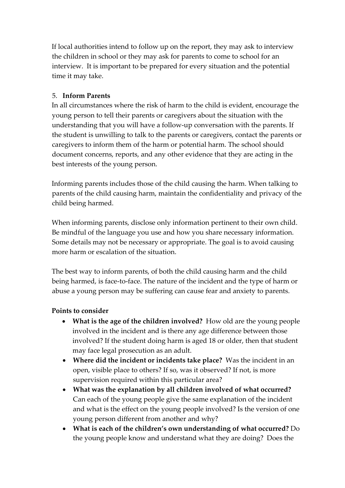If local authorities intend to follow up on the report, they may ask to interview the children in school or they may ask for parents to come to school for an interview. It is important to be prepared for every situation and the potential time it may take.

### 5. **Inform Parents**

In all circumstances where the risk of harm to the child is evident, encourage the young person to tell their parents or caregivers about the situation with the understanding that you will have a follow-up conversation with the parents. If the student is unwilling to talk to the parents or caregivers, contact the parents or caregivers to inform them of the harm or potential harm. The school should document concerns, reports, and any other evidence that they are acting in the best interests of the young person.

Informing parents includes those of the child causing the harm. When talking to parents of the child causing harm, maintain the confidentiality and privacy of the child being harmed.

When informing parents, disclose only information pertinent to their own child. Be mindful of the language you use and how you share necessary information. Some details may not be necessary or appropriate. The goal is to avoid causing more harm or escalation of the situation.

The best way to inform parents, of both the child causing harm and the child being harmed, is face-to-face. The nature of the incident and the type of harm or abuse a young person may be suffering can cause fear and anxiety to parents.

#### **Points to consider**

- **What is the age of the children involved?** How old are the young people involved in the incident and is there any age difference between those involved? If the student doing harm is aged 18 or older, then that student may face legal prosecution as an adult.
- **Where did the incident or incidents take place?** Was the incident in an open, visible place to others? If so, was it observed? If not, is more supervision required within this particular area?
- **What was the explanation by all children involved of what occurred?**  Can each of the young people give the same explanation of the incident and what is the effect on the young people involved? Is the version of one young person different from another and why?
- **What is each of the children's own understanding of what occurred?** Do the young people know and understand what they are doing? Does the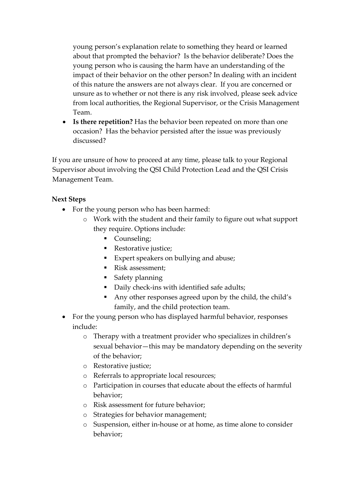young person's explanation relate to something they heard or learned about that prompted the behavior? Is the behavior deliberate? Does the young person who is causing the harm have an understanding of the impact of their behavior on the other person? In dealing with an incident of this nature the answers are not always clear. If you are concerned or unsure as to whether or not there is any risk involved, please seek advice from local authorities, the Regional Supervisor, or the Crisis Management Team.

• **Is there repetition?** Has the behavior been repeated on more than one occasion? Has the behavior persisted after the issue was previously discussed?

If you are unsure of how to proceed at any time, please talk to your Regional Supervisor about involving the QSI Child Protection Lead and the QSI Crisis Management Team.

#### **Next Steps**

- For the young person who has been harmed:
	- o Work with the student and their family to figure out what support they require. Options include:
		- Counseling;
		- Restorative justice;
		- Expert speakers on bullying and abuse;
		- Risk assessment;
		- **Safety planning**
		- Daily check-ins with identified safe adults;
		- Any other responses agreed upon by the child, the child's family, and the child protection team.
- For the young person who has displayed harmful behavior, responses include:
	- o Therapy with a treatment provider who specializes in children's sexual behavior—this may be mandatory depending on the severity of the behavior;
	- o Restorative justice;
	- o Referrals to appropriate local resources;
	- o Participation in courses that educate about the effects of harmful behavior;
	- o Risk assessment for future behavior;
	- o Strategies for behavior management;
	- o Suspension, either in-house or at home, as time alone to consider behavior;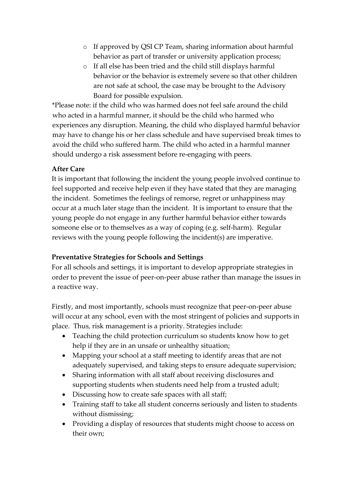- o If approved by QSI CP Team, sharing information about harmful behavior as part of transfer or university application process;
- o If all else has been tried and the child still displays harmful behavior or the behavior is extremely severe so that other children are not safe at school, the case may be brought to the Advisory Board for possible expulsion.

\*Please note: if the child who was harmed does not feel safe around the child who acted in a harmful manner, it should be the child who harmed who experiences any disruption. Meaning, the child who displayed harmful behavior may have to change his or her class schedule and have supervised break times to avoid the child who suffered harm. The child who acted in a harmful manner should undergo a risk assessment before re-engaging with peers.

#### **After Care**

It is important that following the incident the young people involved continue to feel supported and receive help even if they have stated that they are managing the incident. Sometimes the feelings of remorse, regret or unhappiness may occur at a much later stage than the incident. It is important to ensure that the young people do not engage in any further harmful behavior either towards someone else or to themselves as a way of coping (e.g. self-harm). Regular reviews with the young people following the incident(s) are imperative.

#### **Preventative Strategies for Schools and Settings**

For all schools and settings, it is important to develop appropriate strategies in order to prevent the issue of peer-on-peer abuse rather than manage the issues in a reactive way.

Firstly, and most importantly, schools must recognize that peer-on-peer abuse will occur at any school, even with the most stringent of policies and supports in place. Thus, risk management is a priority. Strategies include:

- Teaching the child protection curriculum so students know how to get help if they are in an unsafe or unhealthy situation;
- Mapping your school at a staff meeting to identify areas that are not adequately supervised, and taking steps to ensure adequate supervision;
- Sharing information with all staff about receiving disclosures and supporting students when students need help from a trusted adult;
- Discussing how to create safe spaces with all staff;
- Training staff to take all student concerns seriously and listen to students without dismissing;
- Providing a display of resources that students might choose to access on their own;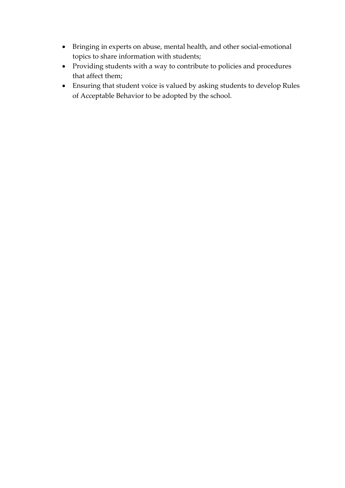- Bringing in experts on abuse, mental health, and other social-emotional topics to share information with students;
- Providing students with a way to contribute to policies and procedures that affect them;
- Ensuring that student voice is valued by asking students to develop Rules of Acceptable Behavior to be adopted by the school.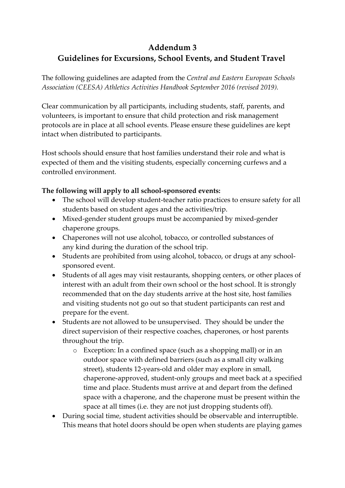# **Addendum 3 Guidelines for Excursions, School Events, and Student Travel**

The following guidelines are adapted from the *Central and Eastern European Schools Association (CEESA) Athletics Activities Handbook September 2016 (revised 2019).* 

Clear communication by all participants, including students, staff, parents, and volunteers, is important to ensure that child protection and risk management protocols are in place at all school events. Please ensure these guidelines are kept intact when distributed to participants.

Host schools should ensure that host families understand their role and what is expected of them and the visiting students, especially concerning curfews and a controlled environment.

#### **The following will apply to all school-sponsored events:**

- The school will develop student-teacher ratio practices to ensure safety for all students based on student ages and the activities/trip.
- Mixed-gender student groups must be accompanied by mixed-gender chaperone groups.
- Chaperones will not use alcohol, tobacco, or controlled substances of any kind during the duration of the school trip.
- Students are prohibited from using alcohol, tobacco, or drugs at any schoolsponsored event.
- Students of all ages may visit restaurants, shopping centers, or other places of interest with an adult from their own school or the host school. It is strongly recommended that on the day students arrive at the host site, host families and visiting students not go out so that student participants can rest and prepare for the event.
- Students are not allowed to be unsupervised. They should be under the direct supervision of their respective coaches, chaperones, or host parents throughout the trip.
	- o Exception: In a confined space (such as a shopping mall) or in an outdoor space with defined barriers (such as a small city walking street), students 12-years-old and older may explore in small, chaperone-approved, student-only groups and meet back at a specified time and place. Students must arrive at and depart from the defined space with a chaperone, and the chaperone must be present within the space at all times (i.e. they are not just dropping students off).
- During social time, student activities should be observable and interruptible. This means that hotel doors should be open when students are playing games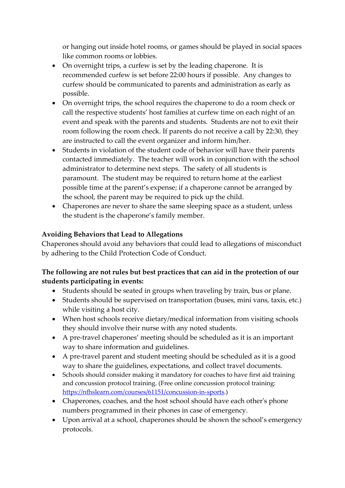or hanging out inside hotel rooms, or games should be played in social spaces like common rooms or lobbies.

- On overnight trips, a curfew is set by the leading chaperone. It is recommended curfew is set before 22:00 hours if possible. Any changes to curfew should be communicated to parents and administration as early as possible.
- On overnight trips, the school requires the chaperone to do a room check or call the respective students' host families at curfew time on each night of an event and speak with the parents and students. Students are not to exit their room following the room check. If parents do not receive a call by 22:30, they are instructed to call the event organizer and inform him/her.
- Students in violation of the student code of behavior will have their parents contacted immediately. The teacher will work in conjunction with the school administrator to determine next steps. The safety of all students is paramount. The student may be required to return home at the earliest possible time at the parent's expense; if a chaperone cannot be arranged by the school, the parent may be required to pick up the child.
- Chaperones are never to share the same sleeping space as a student, unless the student is the chaperone's family member.

#### **Avoiding Behaviors that Lead to Allegations**

Chaperones should avoid any behaviors that could lead to allegations of misconduct by adhering to the Child Protection Code of Conduct.

## **The following are not rules but best practices that can aid in the protection of our students participating in events:**

- Students should be seated in groups when traveling by train, bus or plane.
- Students should be supervised on transportation (buses, mini vans, taxis, etc.) while visiting a host city.
- When host schools receive dietary/medical information from visiting schools they should involve their nurse with any noted students.
- A pre-travel chaperones' meeting should be scheduled as it is an important way to share information and guidelines.
- A pre-travel parent and student meeting should be scheduled as it is a good way to share the guidelines, expectations, and collect travel documents.
- Schools should consider making it mandatory for coaches to have first aid training and concussion protocol training. (Free online concussion protocol training: [https://nfhslearn.com/courses/61151/concussion-in-sports.](https://nfhslearn.com/courses/61151/concussion-in-sports))
- Chaperones, coaches, and the host school should have each other's phone numbers programmed in their phones in case of emergency.
- Upon arrival at a school, chaperones should be shown the school's emergency protocols.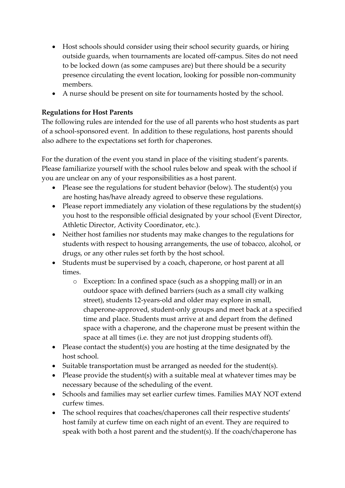- Host schools should consider using their school security guards, or hiring outside guards, when tournaments are located off-campus. Sites do not need to be locked down (as some campuses are) but there should be a security presence circulating the event location, looking for possible non-community members.
- A nurse should be present on site for tournaments hosted by the school.

## **Regulations for Host Parents**

The following rules are intended for the use of all parents who host students as part of a school-sponsored event. In addition to these regulations, host parents should also adhere to the expectations set forth for chaperones.

For the duration of the event you stand in place of the visiting student's parents. Please familiarize yourself with the school rules below and speak with the school if you are unclear on any of your responsibilities as a host parent.

- Please see the regulations for student behavior (below). The student(s) you are hosting has/have already agreed to observe these regulations.
- Please report immediately any violation of these regulations by the student(s) you host to the responsible official designated by your school (Event Director, Athletic Director, Activity Coordinator, etc.).
- Neither host families nor students may make changes to the regulations for students with respect to housing arrangements, the use of tobacco, alcohol, or drugs, or any other rules set forth by the host school.
- Students must be supervised by a coach, chaperone, or host parent at all times.
	- o Exception: In a confined space (such as a shopping mall) or in an outdoor space with defined barriers (such as a small city walking street), students 12-years-old and older may explore in small, chaperone-approved, student-only groups and meet back at a specified time and place. Students must arrive at and depart from the defined space with a chaperone, and the chaperone must be present within the space at all times (i.e. they are not just dropping students off).
- Please contact the student(s) you are hosting at the time designated by the host school.
- Suitable transportation must be arranged as needed for the student(s).
- Please provide the student(s) with a suitable meal at whatever times may be necessary because of the scheduling of the event.
- Schools and families may set earlier curfew times. Families MAY NOT extend curfew times.
- The school requires that coaches/chaperones call their respective students' host family at curfew time on each night of an event. They are required to speak with both a host parent and the student(s). If the coach/chaperone has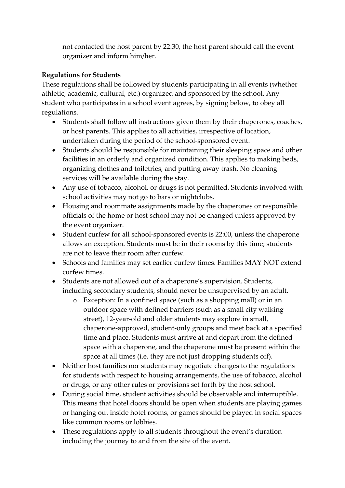not contacted the host parent by 22:30, the host parent should call the event organizer and inform him/her.

### **Regulations for Students**

These regulations shall be followed by students participating in all events (whether athletic, academic, cultural, etc.) organized and sponsored by the school. Any student who participates in a school event agrees, by signing below, to obey all regulations.

- Students shall follow all instructions given them by their chaperones, coaches, or host parents. This applies to all activities, irrespective of location, undertaken during the period of the school-sponsored event.
- Students should be responsible for maintaining their sleeping space and other facilities in an orderly and organized condition. This applies to making beds, organizing clothes and toiletries, and putting away trash. No cleaning services will be available during the stay.
- Any use of tobacco, alcohol, or drugs is not permitted. Students involved with school activities may not go to bars or nightclubs.
- Housing and roommate assignments made by the chaperones or responsible officials of the home or host school may not be changed unless approved by the event organizer.
- Student curfew for all school-sponsored events is 22:00, unless the chaperone allows an exception. Students must be in their rooms by this time; students are not to leave their room after curfew.
- Schools and families may set earlier curfew times. Families MAY NOT extend curfew times.
- Students are not allowed out of a chaperone's supervision. Students, including secondary students, should never be unsupervised by an adult.
	- o Exception: In a confined space (such as a shopping mall) or in an outdoor space with defined barriers (such as a small city walking street), 12-year-old and older students may explore in small, chaperone-approved, student-only groups and meet back at a specified time and place. Students must arrive at and depart from the defined space with a chaperone, and the chaperone must be present within the space at all times (i.e. they are not just dropping students off).
- Neither host families nor students may negotiate changes to the regulations for students with respect to housing arrangements, the use of tobacco, alcohol or drugs, or any other rules or provisions set forth by the host school.
- During social time, student activities should be observable and interruptible. This means that hotel doors should be open when students are playing games or hanging out inside hotel rooms, or games should be played in social spaces like common rooms or lobbies.
- These regulations apply to all students throughout the event's duration including the journey to and from the site of the event.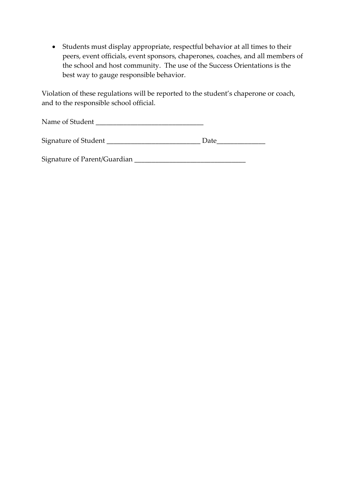• Students must display appropriate, respectful behavior at all times to their peers, event officials, event sponsors, chaperones, coaches, and all members of the school and host community. The use of the Success Orientations is the best way to gauge responsible behavior.

Violation of these regulations will be reported to the student's chaperone or coach, and to the responsible school official.

Name of Student \_\_\_\_\_\_\_\_\_\_\_\_\_\_\_\_\_\_\_\_\_\_\_\_\_\_\_\_\_\_\_

| Signature of Student |  |
|----------------------|--|
|                      |  |

Signature of Parent/Guardian \_\_\_\_\_\_\_\_\_\_\_\_\_\_\_\_\_\_\_\_\_\_\_\_\_\_\_\_\_\_\_\_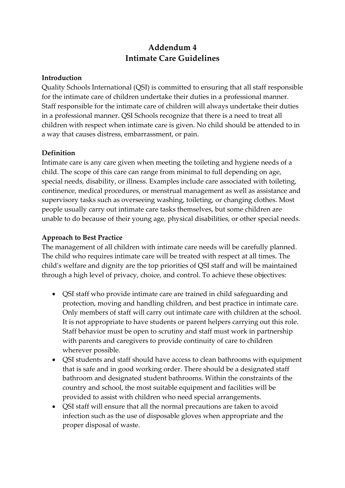# **Addendum 4 Intimate Care Guidelines**

#### **Introduction**

Quality Schools International (QSI) is committed to ensuring that all staff responsible for the intimate care of children undertake their duties in a professional manner. Staff responsible for the intimate care of children will always undertake their duties in a professional manner. QSI Schools recognize that there is a need to treat all children with respect when intimate care is given. No child should be attended to in a way that causes distress, embarrassment, or pain.

#### **Definition**

Intimate care is any care given when meeting the toileting and hygiene needs of a child. The scope of this care can range from minimal to full depending on age, special needs, disability, or illness. Examples include care associated with toileting, continence, medical procedures, or menstrual management as well as assistance and supervisory tasks such as overseeing washing, toileting, or changing clothes. Most people usually carry out intimate care tasks themselves, but some children are unable to do because of their young age, physical disabilities, or other special needs.

#### **Approach to Best Practice**

The management of all children with intimate care needs will be carefully planned. The child who requires intimate care will be treated with respect at all times. The child's welfare and dignity are the top priorities of QSI staff and will be maintained through a high level of privacy, choice, and control. To achieve these objectives:

- QSI staff who provide intimate care are trained in child safeguarding and protection, moving and handling children, and best practice in intimate care. Only members of staff will carry out intimate care with children at the school. It is not appropriate to have students or parent helpers carrying out this role. Staff behavior must be open to scrutiny and staff must work in partnership with parents and caregivers to provide continuity of care to children wherever possible.
- QSI students and staff should have access to clean bathrooms with equipment that is safe and in good working order. There should be a designated staff bathroom and designated student bathrooms. Within the constraints of the country and school, the most suitable equipment and facilities will be provided to assist with children who need special arrangements.
- QSI staff will ensure that all the normal precautions are taken to avoid infection such as the use of disposable gloves when appropriate and the proper disposal of waste.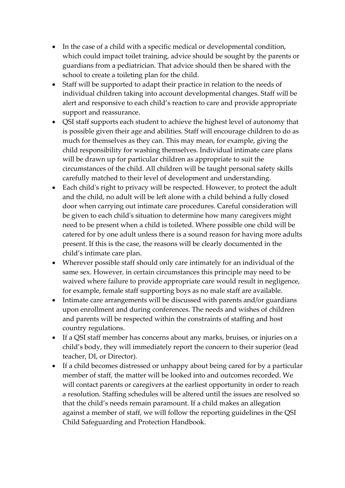- In the case of a child with a specific medical or developmental condition, which could impact toilet training, advice should be sought by the parents or guardians from a pediatrician. That advice should then be shared with the school to create a toileting plan for the child.
- Staff will be supported to adapt their practice in relation to the needs of individual children taking into account developmental changes. Staff will be alert and responsive to each child's reaction to care and provide appropriate support and reassurance.
- QSI staff supports each student to achieve the highest level of autonomy that is possible given their age and abilities. Staff will encourage children to do as much for themselves as they can. This may mean, for example, giving the child responsibility for washing themselves. Individual intimate care plans will be drawn up for particular children as appropriate to suit the circumstances of the child. All children will be taught personal safety skills carefully matched to their level of development and understanding.
- Each child's right to privacy will be respected. However, to protect the adult and the child, no adult will be left alone with a child behind a fully closed door when carrying out intimate care procedures. Careful consideration will be given to each child's situation to determine how many caregivers might need to be present when a child is toileted. Where possible one child will be catered for by one adult unless there is a sound reason for having more adults present. If this is the case, the reasons will be clearly documented in the child's intimate care plan.
- Wherever possible staff should only care intimately for an individual of the same sex. However, in certain circumstances this principle may need to be waived where failure to provide appropriate care would result in negligence, for example, female staff supporting boys as no male staff are available.
- Intimate care arrangements will be discussed with parents and/or guardians upon enrollment and during conferences. The needs and wishes of children and parents will be respected within the constraints of staffing and host country regulations.
- If a QSI staff member has concerns about any marks, bruises, or injuries on a child's body, they will immediately report the concern to their superior (lead teacher, DI, or Director).
- If a child becomes distressed or unhappy about being cared for by a particular member of staff, the matter will be looked into and outcomes recorded. We will contact parents or caregivers at the earliest opportunity in order to reach a resolution. Staffing schedules will be altered until the issues are resolved so that the child's needs remain paramount. If a child makes an allegation against a member of staff, we will follow the reporting guidelines in the QSI Child Safeguarding and Protection Handbook.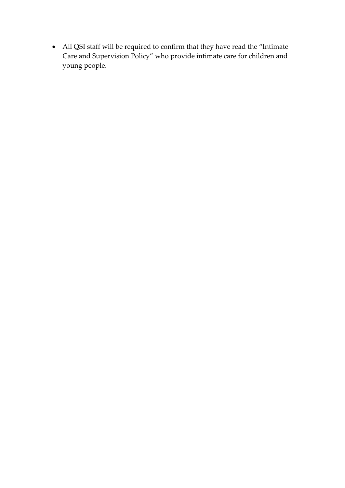• All QSI staff will be required to confirm that they have read the "Intimate Care and Supervision Policy" who provide intimate care for children and young people.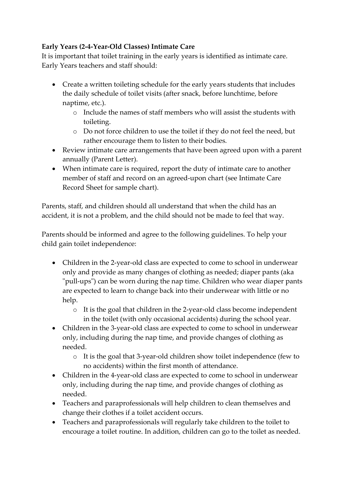### **Early Years (2-4-Year-Old Classes) Intimate Care**

It is important that toilet training in the early years is identified as intimate care. Early Years teachers and staff should:

- Create a written toileting schedule for the early years students that includes the daily schedule of toilet visits (after snack, before lunchtime, before naptime, etc.).
	- o Include the names of staff members who will assist the students with toileting.
	- o Do not force children to use the toilet if they do not feel the need, but rather encourage them to listen to their bodies.
- Review intimate care arrangements that have been agreed upon with a parent annually (Parent Letter).
- When intimate care is required, report the duty of intimate care to another member of staff and record on an agreed-upon chart (see Intimate Care Record Sheet for sample chart).

Parents, staff, and children should all understand that when the child has an accident, it is not a problem, and the child should not be made to feel that way.

Parents should be informed and agree to the following guidelines. To help your child gain toilet independence:

- Children in the 2-year-old class are expected to come to school in underwear only and provide as many changes of clothing as needed; diaper pants (aka "pull-ups") can be worn during the nap time. Children who wear diaper pants are expected to learn to change back into their underwear with little or no help.
	- o It is the goal that children in the 2-year-old class become independent in the toilet (with only occasional accidents) during the school year.
- Children in the 3-year-old class are expected to come to school in underwear only, including during the nap time, and provide changes of clothing as needed.
	- o It is the goal that 3-year-old children show toilet independence (few to no accidents) within the first month of attendance.
- Children in the 4-year-old class are expected to come to school in underwear only, including during the nap time, and provide changes of clothing as needed.
- Teachers and paraprofessionals will help children to clean themselves and change their clothes if a toilet accident occurs.
- Teachers and paraprofessionals will regularly take children to the toilet to encourage a toilet routine. In addition, children can go to the toilet as needed.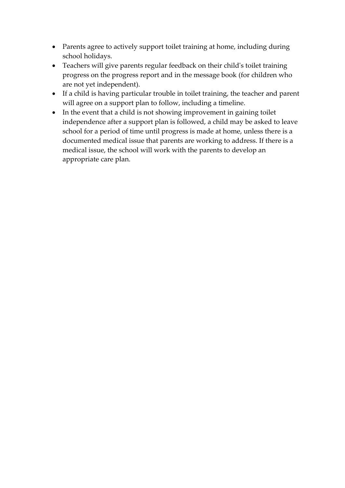- Parents agree to actively support toilet training at home, including during school holidays.
- Teachers will give parents regular feedback on their child's toilet training progress on the progress report and in the message book (for children who are not yet independent).
- If a child is having particular trouble in toilet training, the teacher and parent will agree on a support plan to follow, including a timeline.
- In the event that a child is not showing improvement in gaining toilet independence after a support plan is followed, a child may be asked to leave school for a period of time until progress is made at home, unless there is a documented medical issue that parents are working to address. If there is a medical issue, the school will work with the parents to develop an appropriate care plan.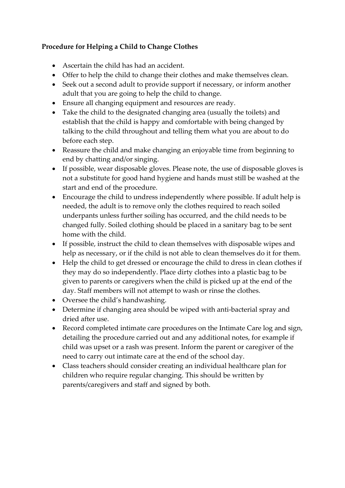### **Procedure for Helping a Child to Change Clothes**

- Ascertain the child has had an accident.
- Offer to help the child to change their clothes and make themselves clean.
- Seek out a second adult to provide support if necessary, or inform another adult that you are going to help the child to change.
- Ensure all changing equipment and resources are ready.
- Take the child to the designated changing area (usually the toilets) and establish that the child is happy and comfortable with being changed by talking to the child throughout and telling them what you are about to do before each step.
- Reassure the child and make changing an enjoyable time from beginning to end by chatting and/or singing.
- If possible, wear disposable gloves. Please note, the use of disposable gloves is not a substitute for good hand hygiene and hands must still be washed at the start and end of the procedure.
- Encourage the child to undress independently where possible. If adult help is needed, the adult is to remove only the clothes required to reach soiled underpants unless further soiling has occurred, and the child needs to be changed fully. Soiled clothing should be placed in a sanitary bag to be sent home with the child.
- If possible, instruct the child to clean themselves with disposable wipes and help as necessary, or if the child is not able to clean themselves do it for them.
- Help the child to get dressed or encourage the child to dress in clean clothes if they may do so independently. Place dirty clothes into a plastic bag to be given to parents or caregivers when the child is picked up at the end of the day. Staff members will not attempt to wash or rinse the clothes.
- Oversee the child's handwashing.
- Determine if changing area should be wiped with anti-bacterial spray and dried after use.
- Record completed intimate care procedures on the Intimate Care log and sign, detailing the procedure carried out and any additional notes, for example if child was upset or a rash was present. Inform the parent or caregiver of the need to carry out intimate care at the end of the school day.
- Class teachers should consider creating an individual healthcare plan for children who require regular changing. This should be written by parents/caregivers and staff and signed by both.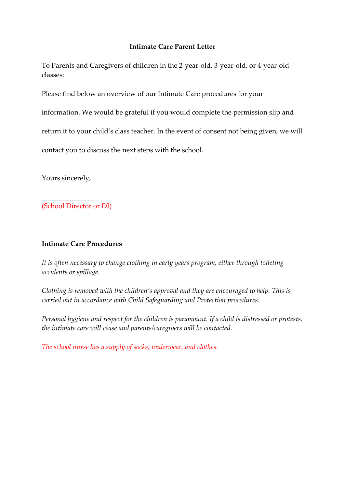#### **Intimate Care Parent Letter**

To Parents and Caregivers of children in the 2-year-old, 3-year-old, or 4-year-old classes:

Please find below an overview of our Intimate Care procedures for your

information. We would be grateful if you would complete the permission slip and

return it to your child's class teacher. In the event of consent not being given, we will

contact you to discuss the next steps with the school.

Yours sincerely,

 $\overline{\phantom{a}}$  , where  $\overline{\phantom{a}}$ 

(School Director or DI)

#### **Intimate Care Procedures**

*It is often necessary to change clothing in early years program, either through toileting accidents or spillage.* 

*Clothing is removed with the children's approval and they are encouraged to help. This is carried out in accordance with Child Safeguarding and Protection procedures.* 

*Personal hygiene and respect for the children is paramount. If a child is distressed or protests, the intimate care will cease and parents/caregivers will be contacted.* 

*The school nurse has a supply of socks, underwear, and clothes.*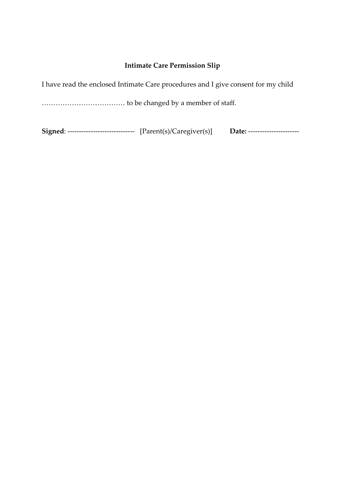#### **Intimate Care Permission Slip**

I have read the enclosed Intimate Care procedures and I give consent for my child

……………………………… to be changed by a member of staff.

**Signed**: ----------------------------- [Parent(s)/Caregiver(s)] **Date:** ----------------------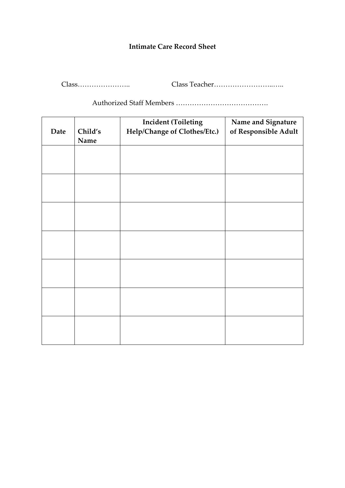#### **Intimate Care Record Sheet**

Class………………….. Class Teacher……………………..…..

Authorized Staff Members ………………………………….

|      |         | <b>Incident (Toileting</b>   | Name and Signature   |
|------|---------|------------------------------|----------------------|
| Date | Child's | Help/Change of Clothes/Etc.) | of Responsible Adult |
|      | Name    |                              |                      |
|      |         |                              |                      |
|      |         |                              |                      |
|      |         |                              |                      |
|      |         |                              |                      |
|      |         |                              |                      |
|      |         |                              |                      |
|      |         |                              |                      |
|      |         |                              |                      |
|      |         |                              |                      |
|      |         |                              |                      |
|      |         |                              |                      |
|      |         |                              |                      |
|      |         |                              |                      |
|      |         |                              |                      |
|      |         |                              |                      |
|      |         |                              |                      |
|      |         |                              |                      |
|      |         |                              |                      |
|      |         |                              |                      |
|      |         |                              |                      |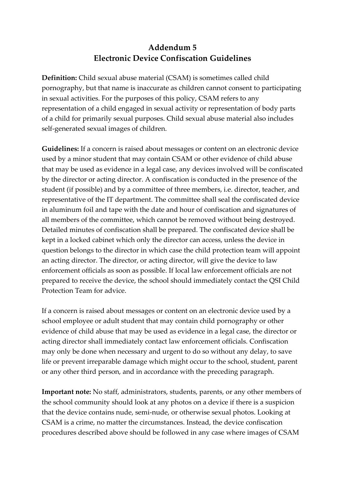## **Addendum 5 Electronic Device Confiscation Guidelines**

**Definition:** Child sexual abuse material (CSAM) is sometimes called child pornography, but that name is inaccurate as children cannot consent to participating in sexual activities. For the purposes of this policy, CSAM refers to any representation of a child engaged in sexual activity or representation of body parts of a child for primarily sexual purposes. Child sexual abuse material also includes self-generated sexual images of children.

**Guidelines:** If a concern is raised about messages or content on an electronic device used by a minor student that may contain CSAM or other evidence of child abuse that may be used as evidence in a legal case, any devices involved will be confiscated by the director or acting director. A confiscation is conducted in the presence of the student (if possible) and by a committee of three members, i.e. director, teacher, and representative of the IT department. The committee shall seal the confiscated device in aluminum foil and tape with the date and hour of confiscation and signatures of all members of the committee, which cannot be removed without being destroyed. Detailed minutes of confiscation shall be prepared. The confiscated device shall be kept in a locked cabinet which only the director can access, unless the device in question belongs to the director in which case the child protection team will appoint an acting director. The director, or acting director, will give the device to law enforcement officials as soon as possible. If local law enforcement officials are not prepared to receive the device, the school should immediately contact the QSI Child Protection Team for advice.

If a concern is raised about messages or content on an electronic device used by a school employee or adult student that may contain child pornography or other evidence of child abuse that may be used as evidence in a legal case, the director or acting director shall immediately contact law enforcement officials. Confiscation may only be done when necessary and urgent to do so without any delay, to save life or prevent irreparable damage which might occur to the school, student, parent or any other third person, and in accordance with the preceding paragraph.

**Important note:** No staff, administrators, students, parents, or any other members of the school community should look at any photos on a device if there is a suspicion that the device contains nude, semi-nude, or otherwise sexual photos. Looking at CSAM is a crime, no matter the circumstances. Instead, the device confiscation procedures described above should be followed in any case where images of CSAM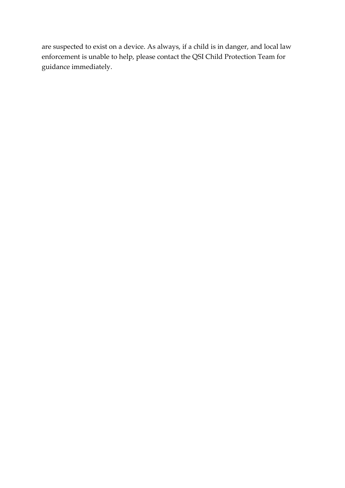are suspected to exist on a device. As always, if a child is in danger, and local law enforcement is unable to help, please contact the QSI Child Protection Team for guidance immediately.